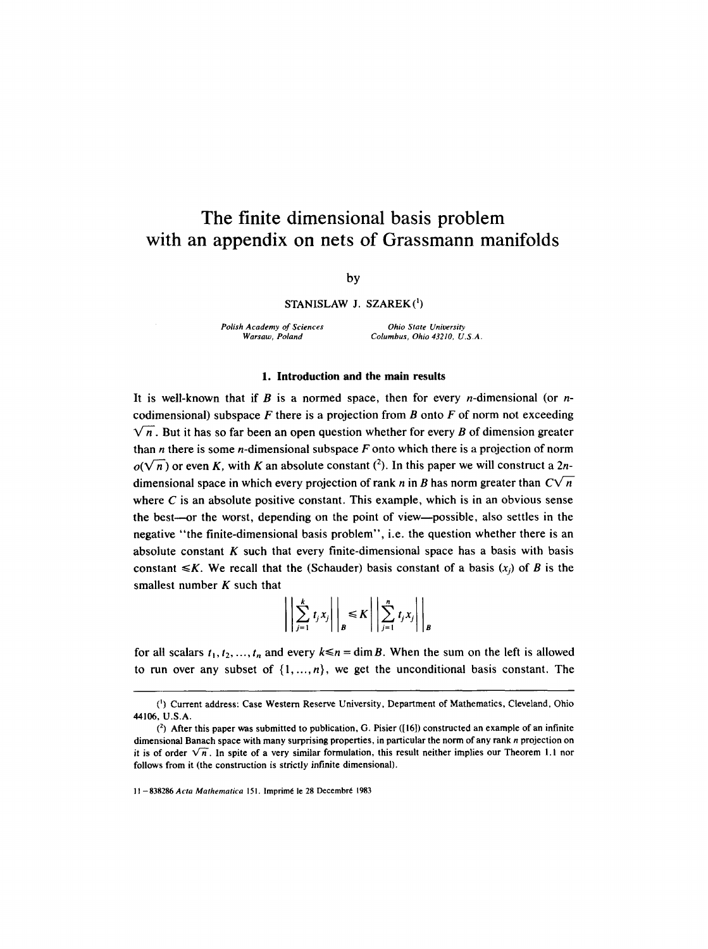# **The finite dimensional basis problem with an appendix on nets of Grassmann manifolds**

by

# $STANISLAW$  J.  $SZAREK(^{1})$

*Polish Academy of Sciences Ohio State University* 

*Warsaw, Poland Columbus, Ohio 43210, U.S.A.* 

#### 1. **Introduction and the main results**

It is well-known that if B is a normed space, then for every *n*-dimensional (or *n*codimensional) subspace F there is a projection from B onto F of norm not exceeding  $\sqrt{n}$ . But it has so far been an open question whether for every B of dimension greater than *n* there is some *n*-dimensional subspace  $F$  onto which there is a projection of norm  $o(\sqrt{n})$  or even K, with K an absolute constant (<sup>2</sup>). In this paper we will construct a 2ndimensional space in which every projection of rank n in B has norm greater than  $C\sqrt{n}$ where  $C$  is an absolute positive constant. This example, which is in an obvious sense the best--or the worst, depending on the point of view--possible, also settles in the negative "the finite-dimensional basis problem", i.e. the question whether there is an absolute constant  $K$  such that every finite-dimensional space has a basis with basis constant  $\le K$ . We recall that the (Schauder) basis constant of a basis  $(x_i)$  of B is the smallest number  $K$  such that  $\sim 10^{-10}$  $\sim$  100  $\sim$ 

$$
\left|\left|\sum_{j=1}^k t_j x_j\right|\right|_B \leq K \left|\left|\sum_{j=1}^n t_j x_j\right|\right|_B
$$

for all scalars  $t_1, t_2, ..., t_n$  and every  $k \le n = \dim B$ . When the sum on the left is allowed to run over any subset of  $\{1, ..., n\}$ , we get the unconditional basis constant. The

<sup>(~)</sup> Current address: Case Western Reserve University, Department of Mathematics, Cleveland, Ohio 44106, U.S.A.

<sup>(2)</sup> After this paper was submitted to publication, G. Pisier ([16]) constructed an example of an infinite dimensional Banach space with many surprising properties, in particular the norm of any rank n projection on it is of order  $\sqrt{n}$ . In spite of a very similar formulation, this result neither implies our Theorem 1.1 nor follows from it (the construction is strictly infinite dimensional).

<sup>11 - 838286</sup> *Acta Mathematica* 151. Imprimé le 28 Decembré 1983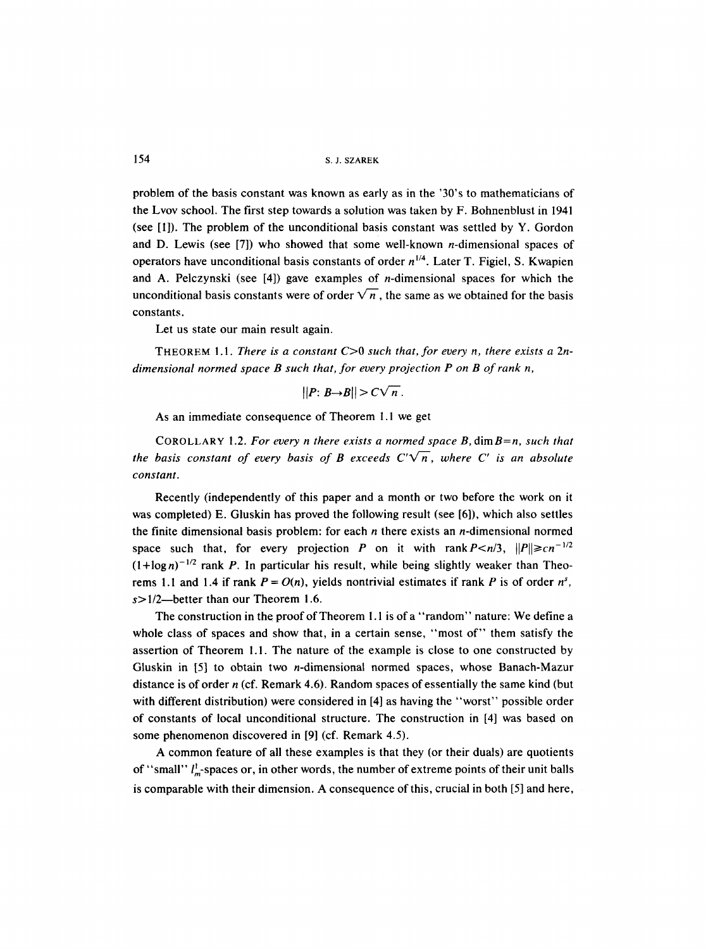154 S.J. SZAREK

problem of the basis constant was known as early as in the '30's to mathematicians of the Lvov school. The first step towards a solution was taken by F. Bohnenblust in 1941 (see [1]). The problem of the unconditional basis constant was settled by Y. Gordon and D. Lewis (see [7]) who showed that some well-known *n*-dimensional spaces of operators have unconditional basis constants of order  $n^{1/4}$ . Later T. Figiel, S. Kwapien and A. Pelczynski (see [4]) gave examples of n-dimensional spaces for which the unconditional basis constants were of order  $\sqrt{n}$ , the same as we obtained for the basis constants.

Let us state our main result again.

THEOREM 1.1. *There is a constant* C>0 *such that, for every n, there exists a 2ndimensional normed space B such that, for every projection P on B of rank n,* 

$$
||P: B \rightarrow B|| > C\sqrt{n}.
$$

As an immediate consequence of Theorem 1.1 we get

COROLLARY 1.2. *For every n there exists a normed space B*, dim B=n, *such that the basis constant of every basis of B exceeds*  $C'\sqrt{n}$ *, where C' is an absolute constant.* 

Recently (independently of this paper and a month or two before the work on it was completed) E. Gluskin has proved the following result (see [6]), which also settles the finite dimensional basis problem: for each  $n$  there exists an  $n$ -dimensional normed space such that, for every projection P on it with rank  $P \le n/3$ ,  $||P|| \ge cn^{-1/2}$  $(1 + \log n)^{-1/2}$  rank P. In particular his result, while being slightly weaker than Theorems 1.1 and 1.4 if rank  $P = O(n)$ , yields nontrivial estimates if rank P is of order  $n^s$ ,  $s > 1/2$ —better than our Theorem 1.6.

The construction in the proof of Theorem I. 1 is of a "random" nature: We define a whole class of spaces and show that, in a certain sense, "most of" them satisfy the assertion of Theorem !.1. The nature of the example is close to one constructed by Gluskin in [5] to obtain two n-dimensional normed spaces, whose Banach-Mazur distance is of order  $n$  (cf. Remark 4.6). Random spaces of essentially the same kind (but with different distribution) were considered in [4] as having the "worst" possible order of constants of local unconditional structure. The construction in [4] was based on some phenomenon discovered in [9] (cf. Remark 4.5).

A common feature of all these examples is that they (or their duals) are quotients of "small"  $l_m^{\dagger}$ -spaces or, in other words, the number of extreme points of their unit balls is comparable with their dimension. A consequence of this, crucial in both [5] and here,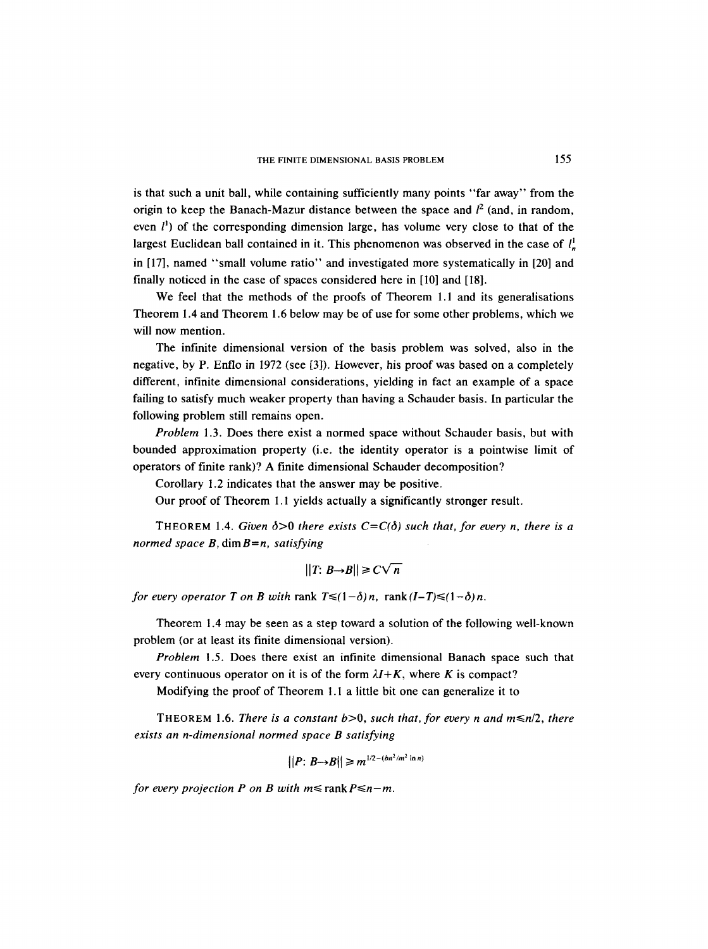is that such a unit ball, while containing sufficiently many points "far away" from the origin to keep the Banach-Mazur distance between the space and  $l^2$  (and, in random, even  $l^{\prime}$ ) of the corresponding dimension large, has volume very close to that of the largest Euclidean ball contained in it. This phenomenon was observed in the case of  $l<sub>n</sub>$ in [17], named "small volume ratio" and investigated more systematically in [20] and finally noticed in the case of spaces considered here in [I0] and [18].

We feel that the methods of the proofs of Theorem 1.1 and its generalisations Theorem 1.4 and Theorem 1.6 below may be of use for some other problems, which we will now mention.

The infinite dimensional version of the basis problem was solved, also in the negative, by P. Enflo in 1972 (see [3]). However, his proof was based on a completely different, infinite dimensional considerations, yielding in fact an example of a space failing to satisfy much weaker property than having a Schauder basis. In particular the following problem still remains open.

*Problem* 1.3. Does there exist a normed space without Schauder basis, but with bounded approximation property (i.e. the identity operator is a pointwise limit of operators of finite rank)? A finite dimensional Schauder decomposition?

Corollary 1.2 indicates that the answer may be positive.

Our proof of Theorem 1.1 yields actually a significantly stronger result.

THEOREM 1.4. *Given*  $\delta > 0$  *there exists*  $C = C(\delta)$  *such that, for every n, there is a normed space B,* dimB=n, *satisfying* 

$$
||T: B \rightarrow B|| \geq C \sqrt{n}
$$

*for every operator T on B with rank*  $T \leq (1-\delta)n$ *, rank*  $(I-T) \leq (1-\delta)n$ *.* 

Theorem 1.4 may be seen as a step toward a solution of the following well-known problem (or at least its finite dimensional version).

*Problem* !.5. Does there exist an infinite dimensional Banach space such that every continuous operator on it is of the form  $\lambda I + K$ , where K is compact?

Modifying the proof of Theorem l.l a little bit one can generalize it to

THEOREM 1.6. *There is a constant*  $b > 0$ , *such that, for every n and m* $\leq n/2$ , *there exists an n-dimensional normed space B satisfying* 

$$
||P: B \rightarrow B|| \geq m^{1/2 - (bn^2/m^2 \ln n)}
$$

*for every projection P on B with*  $m \leq$  *rank*  $P \leq n-m$ *.*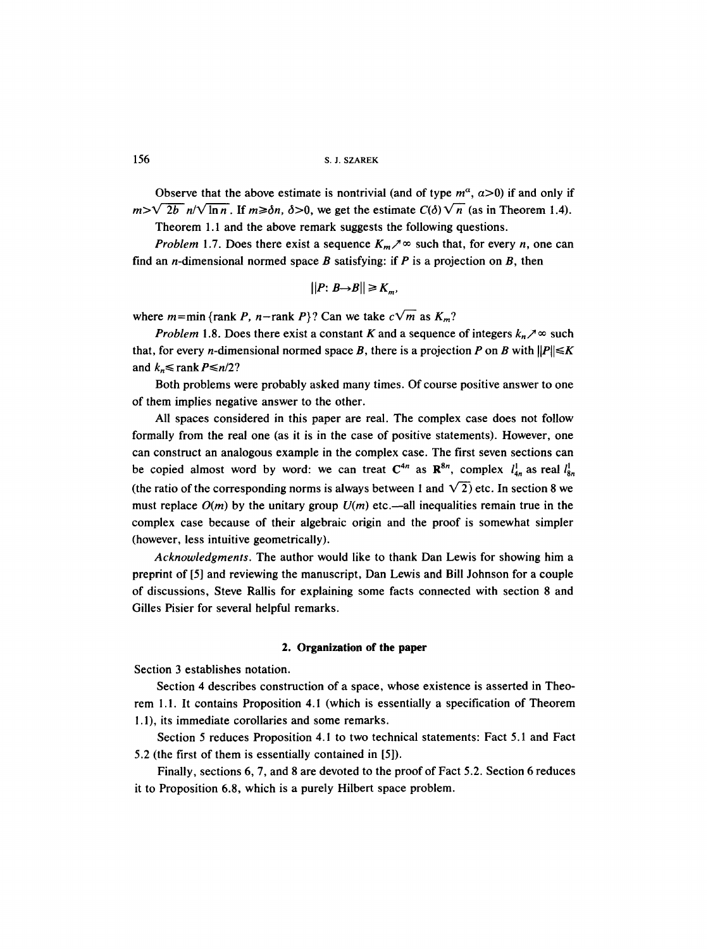156 s.J. SZAREK

Observe that the above estimate is nontrivial (and of type  $m^{\alpha}$ ,  $\alpha$ >0) if and only if  $m>\sqrt{2b}$   $n/\sqrt{\ln n}$ . If  $m\geq \delta n$ ,  $\delta>0$ , we get the estimate  $C(\delta)\sqrt{n}$  (as in Theorem 1.4).

Theorem 1.1 and the above remark suggests the following questions.

*Problem* 1.7. Does there exist a sequence  $K_m \nearrow \infty$  such that, for every *n*, one can find an *n*-dimensional normed space B satisfying: if P is a projection on B, then

$$
||P: B \rightarrow B|| \geq K_m,
$$

where  $m=\min$  {rank P, n-rank P}? Can we take  $c\sqrt{m}$  as  $K_m$ ?

*Problem* 1.8. Does there exist a constant K and a sequence of integers  $k_n \nearrow \infty$  such that, for every *n*-dimensional normed space B, there is a projection P on B with  $||P|| \le K$ and  $k_n \leq$  rank  $P \leq n/2$ ?

Both problems were probably asked many times. Of course positive answer to one of them implies negative answer to the other.

All spaces considered in this paper are real. The complex case does not follow formally from the real one (as it is in the case of positive statements). However, one can construct an analogous example in the complex case. The first seven sections can be copied almost word by word: we can treat  $C^{4n}$  as  $\mathbb{R}^{8n}$ , complex  $l_{4n}^{1}$  as real  $l_{8n}^{1}$ (the ratio of the corresponding norms is always between 1 and  $\sqrt{2}$ ) etc. In section 8 we must replace  $O(m)$  by the unitary group  $U(m)$  etc.—all inequalities remain true in the complex case because of their algebraic origin and the proof is somewhat simpler (however, less intuitive geometrically).

*Acknowledgments.* The author would like to thank Dan Lewis for showing him a preprint of [5] and reviewing the manuscript, Dan Lewis and Bill Johnson for a couple of discussions, Steve Rallis for explaining some facts connected with section 8 and Gilles Pisier for several helpful remarks.

## **2. Organization of the paper**

Section 3 establishes notation.

Section 4 describes construction of a space, whose existence is asserted in Theorem 1.1. It contains Proposition 4.1 (which is essentially a specification of Theorem 1.1), its immediate corollaries and some remarks.

Section 5 reduces Proposition 4.1 to two technical statements: Fact 5.1 and Fact 5.2 (the first of them is essentially contained in [5]).

Finally, sections 6, 7, and 8 are devoted to the proof of Fact 5.2. Section 6 reduces it to Proposition 6.8, which is a purely Hilbert space problem.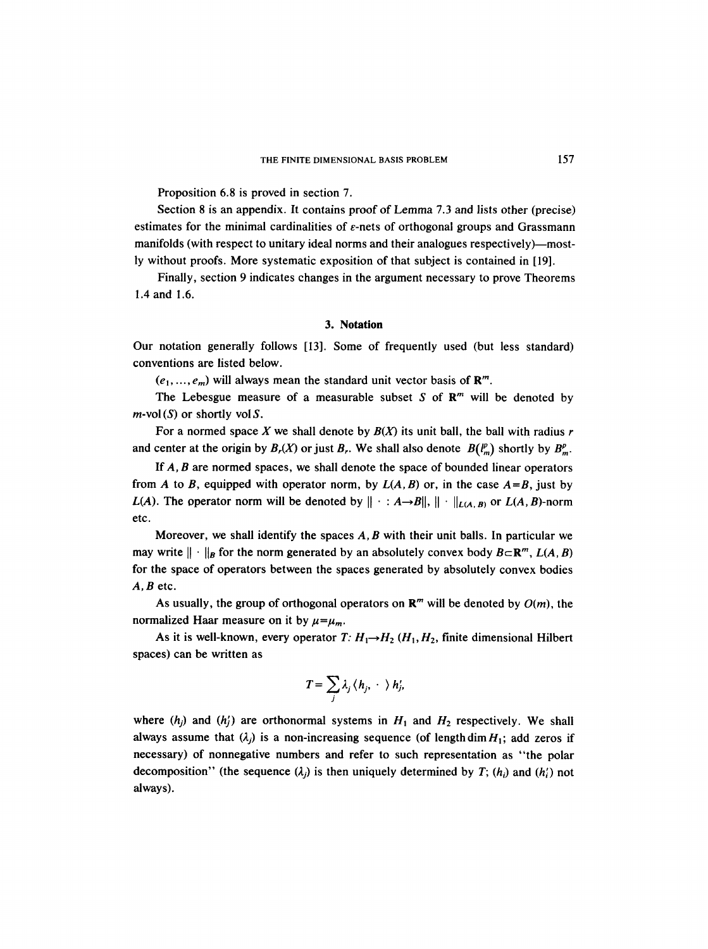Proposition 6.8 is proved in section 7.

Section 8 is an appendix. It contains proof of Lemma 7.3 and lists other (precise) estimates for the minimal cardinalities of  $\varepsilon$ -nets of orthogonal groups and Grassmann manifolds (with respect to unitary ideal norms and their analogues respectively)—mostly without proofs. More systematic exposition of that subject is contained in [19].

Finally, section 9 indicates changes in the argument necessary to prove Theorems 1.4 and 1.6.

#### **3. Notation**

Our notation generally follows [13]. Some of frequently used (but less standard) conventions are listed below.

 $(e_1, ..., e_m)$  will always mean the standard unit vector basis of  $\mathbb{R}^m$ .

The Lebesgue measure of a measurable subset S of  $\mathbb{R}^m$  will be denoted by  $m$ -vol (S) or shortly vol S.

For a normed space X we shall denote by  $B(X)$  its unit ball, the ball with radius r and center at the origin by  $B_r(X)$  or just  $B_r$ . We shall also denote  $B(\ell_m^p)$  shortly by  $B_m^p$ .

If A, B are normed spaces, we shall denote the space of bounded linear operators from A to B, equipped with operator norm, by  $L(A, B)$  or, in the case  $A = B$ , just by *L(A).* The operator norm will be denoted by  $\|\cdot : A \rightarrow B\|$ ,  $\|\cdot\|_{L(A, B)}$  or *L(A, B)*-norm etc.

Moreover, we shall identify the spaces  $A, B$  with their unit balls. In particular we may write  $\|\cdot\|_B$  for the norm generated by an absolutely convex body  $B \subset \mathbb{R}^m$ ,  $L(A, B)$ for the space of operators between the spaces generated by absolutely convex bodies  $A, B$  etc.

As usually, the group of orthogonal operators on  $\mathbb{R}^m$  will be denoted by  $O(m)$ , the normalized Haar measure on it by  $\mu=\mu_m$ .

As it is well-known, every operator *T:*  $H_1 \rightarrow H_2$  ( $H_1, H_2$ , finite dimensional Hilbert spaces) can be written as

$$
T=\sum_j \lambda_j\,\langle\, h_j,\,\cdot\,\,\rangle\,h_j',
$$

where  $(h_i)$  and  $(h'_i)$  are orthonormal systems in  $H_1$  and  $H_2$  respectively. We shall always assume that  $(\lambda_j)$  is a non-increasing sequence (of length dim  $H_1$ ; add zeros if necessary) of nonnegative numbers and refer to such representation as "the polar decomposition" (the sequence  $(\lambda_i)$  is then uniquely determined by T;  $(h_i)$  and  $(h'_i)$  not always).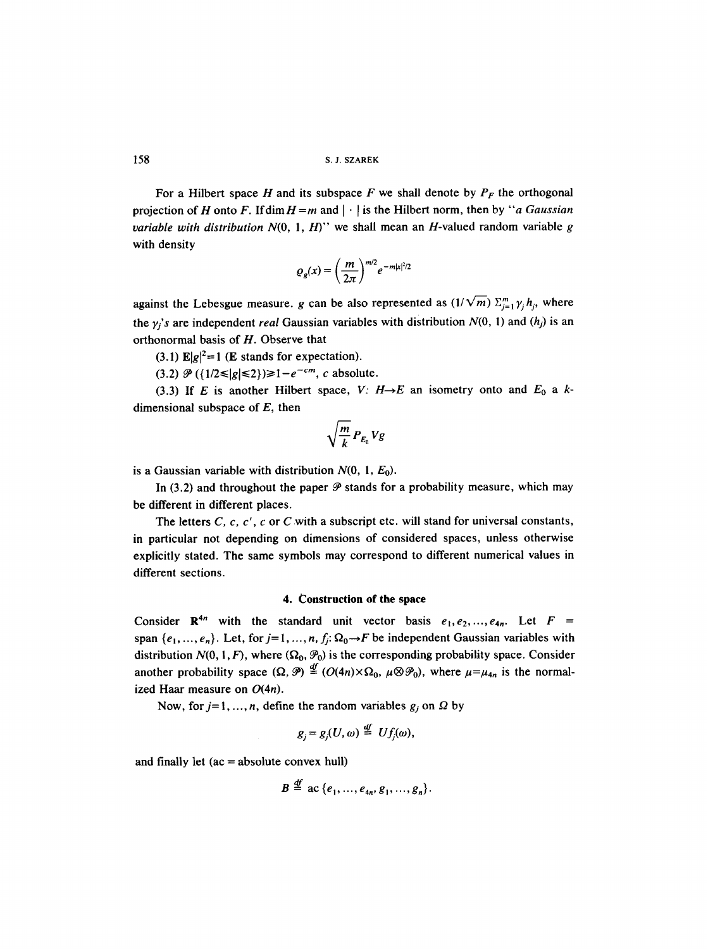158 S. J. SZAREK

For a Hilbert space H and its subspace F we shall denote by  $P_F$  the orthogonal projection of H onto F. If dim  $H = m$  and  $|\cdot|$  is the Hilbert norm, then by "*a Gaussian variable with distribution N*(0, 1, H)" we shall mean an H-valued random variable g with density

$$
\varrho_g(x) = \left(\frac{m}{2\pi}\right)^{m/2} e^{-m|x|^2/2}
$$

against the Lebesgue measure, g can be also represented as  $(1/\sqrt{m}) \sum_{j=1}^{m} \gamma_j h_j$ , where the  $\gamma_i$ 's are independent *real* Gaussian variables with distribution  $N(0, 1)$  and  $(h_i)$  is an orthonormal basis of H. Observe that

(3.1)  $E|g|^2 = 1$  (E stands for expectation).

 $(3.2) \mathcal{P}(\{1/2 \le |g| \le 2\}) \ge 1 - e^{-cm}$ , c absolute.

(3.3) If E is another Hilbert space, *V:*  $H \rightarrow E$  an isometry onto and  $E_0$  a kdimensional subspace of  $E$ , then

$$
\sqrt{\frac{m}{k}} P_{E_0} V g
$$

is a Gaussian variable with distribution  $N(0, 1, E_0)$ .

In (3.2) and throughout the paper  $\mathcal P$  stands for a probability measure, which may be different in different places.

The letters  $C$ ,  $c$ ,  $c'$ ,  $c$  or  $C$  with a subscript etc. will stand for universal constants, in particular not depending on dimensions of considered spaces, unless otherwise explicitly stated. The same symbols may correspond to different numerical values in different sections.

## **4. Construction of the space**

Consider  $\mathbb{R}^{4n}$  with the standard unit vector basis  $e_1, e_2, ..., e_{4n}$ . Let  $F =$ span  $\{e_1, ..., e_n\}$ . Let, for  $j=1, ..., n$ ,  $f_j: \Omega_0 \to F$  be independent Gaussian variables with distribution  $N(0, 1, F)$ , where  $(\Omega_0, \mathcal{P}_0)$  is the corresponding probability space. Consider another probability space  $(\Omega, \mathcal{P}) \stackrel{df}{=} (O(4n) \times \Omega_0, \mu \otimes \mathcal{P}_0)$ , where  $\mu = \mu_{4n}$  is the normalized Haar measure on  $O(4n)$ .

Now, for  $j=1, ..., n$ , define the random variables  $g_j$  on  $\Omega$  by

$$
g_i = g_i(U, \omega) \stackrel{df}{=} Uf_i(\omega),
$$

and finally let  $(ac = absolute convex hull)$ 

$$
B \stackrel{\mathrm{df}}{=} \mathbf{ac} \{e_1, \ldots, e_{4n}, g_1, \ldots, g_n\}.
$$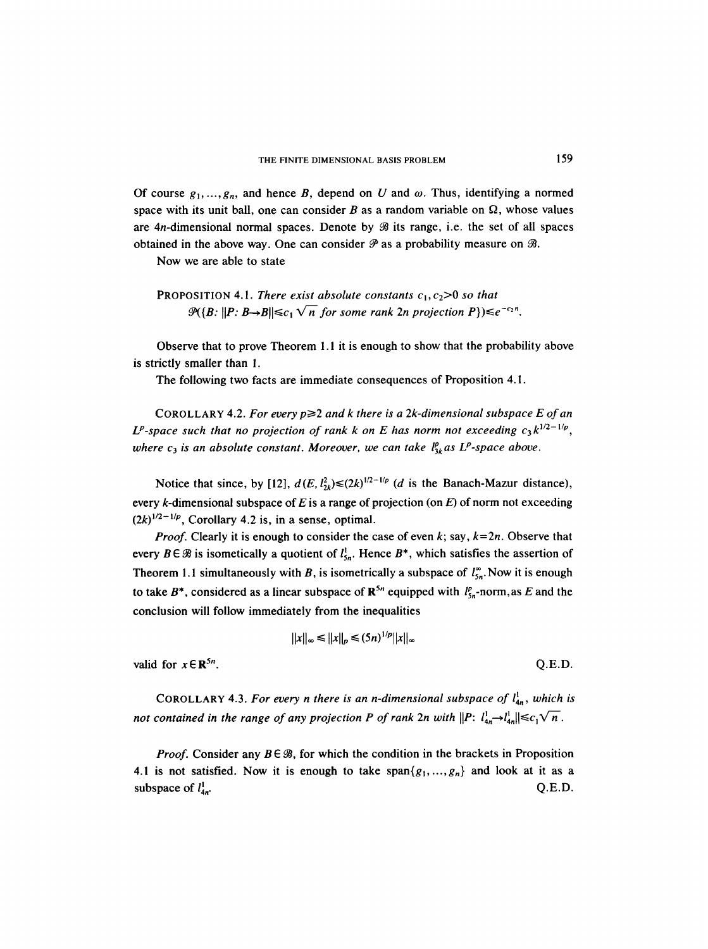Of course  $g_1, \ldots, g_n$ , and hence B, depend on U and  $\omega$ . Thus, identifying a normed space with its unit ball, one can consider  $B$  as a random variable on  $\Omega$ , whose values are  $4n$ -dimensional normal spaces. Denote by  $\mathcal{B}$  its range, i.e. the set of all spaces obtained in the above way. One can consider  $\mathcal P$  as a probability measure on  $\mathcal B$ .

Now we are able to state

**PROPOSITION 4.1.** *There exist absolute constants*  $c_1$ ,  $c_2$ >0 *so that*  $\mathcal{P}(\{B: ||P: B\rightarrow B||\leq c_1 \sqrt{n} \text{ for some rank } 2n \text{ projection } P\}) \leq e^{-c_2n}.$ 

Observe that to prove Theorem 1.1 it is enough to show that the probability above is strictly smaller than 1.

The following two facts are immediate consequences of Proposition 4.1.

COROLLARY 4.2. *For every*  $p \geq 2$  *and k there is a 2k-dimensional subspace E of an*  $L^p$ -space such that no projection of rank k on E has norm not exceeding  $c_3k^{1/2-1/p}$ . *where c<sub>3</sub> is an absolute constant. Moreover, we can take*  $l_{3k}^p$  *as L<sup>p</sup>-space above.* 

Notice that since, by [12],  $d(E, l<sub>2k</sub><sup>2</sup>) \le (2k)^{1/2-1/p}$  (*d* is the Banach-Mazur distance), every k-dimensional subspace of E is a range of projection (on  $E$ ) of norm not exceeding  $(2k)^{1/2-1/p}$ , Corollary 4.2 is, in a sense, optimal.

*Proof.* Clearly it is enough to consider the case of even k; say,  $k=2n$ . Observe that every  $B \in \mathcal{B}$  is isometically a quotient of  $l_{5n}^{\dagger}$ . Hence  $B^*$ , which satisfies the assertion of Theorem 1.1 simultaneously with B, is isometrically a subspace of  $l_{5n}^{\infty}$ . Now it is enough to take B<sup>\*</sup>, considered as a linear subspace of  $\mathbb{R}^{5n}$  equipped with  $l_{5n}^p$ -norm, as E and the conclusion will follow immediately from the inequalities

$$
||x||_{\infty} \le ||x||_{p} \le (5n)^{1/p} ||x||_{\infty}
$$

valid for  $x \in \mathbb{R}^{5n}$ . Q.E.D.

COROLLARY 4.3. For every *n* there is an *n*-dimensional subspace of  $l_{4n}^1$ , which is *not contained in the range of any projection P of rank 2n with*  $||P: l_{4n}^1 \rightarrow l_{4n}^1|| \leq c_1 \sqrt{n}$ .

*Proof.* Consider any  $B \in \mathcal{B}$ , for which the condition in the brackets in Proposition 4.1 is not satisfied. Now it is enough to take  $span\{g_1, ..., g_n\}$  and look at it as a subspace of  $l_{4n}^1$ . Q.E.D.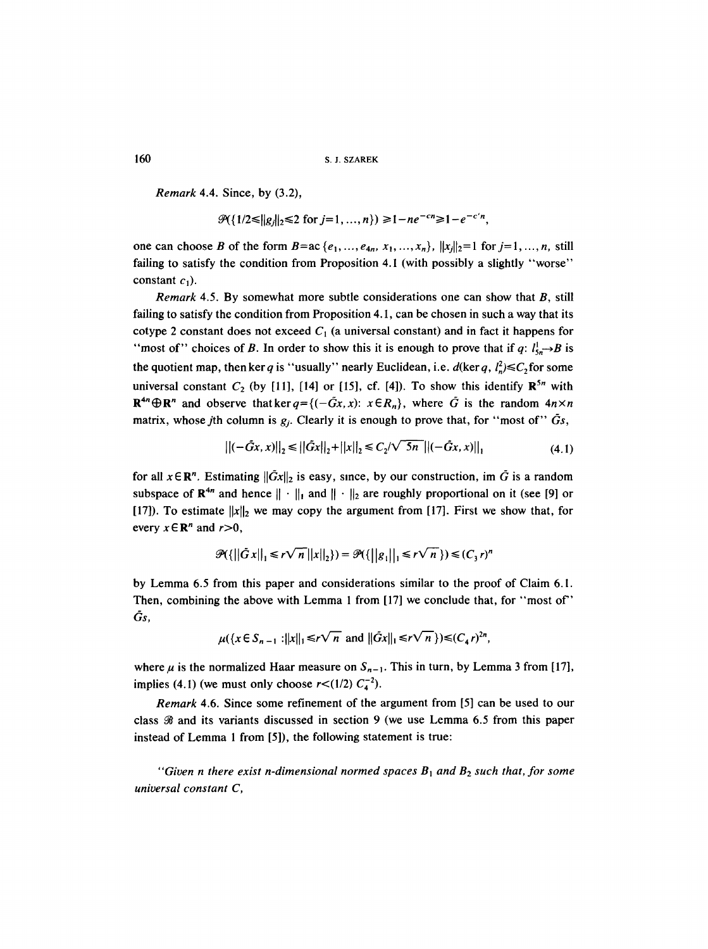*Remark* 4.4. Since, by (3.2),

$$
\mathcal{P}(\{1/2 \le ||g_j||_2 \le 2 \text{ for } j=1,...,n\}) \ge 1 - ne^{-cn} \ge 1 - e^{-c'n},
$$

one can choose B of the form  $B = ac \{e_1, ..., e_{4n}, x_1, ..., x_n\}$ ,  $||x_i||_2 = 1$  for  $j = 1, ..., n$ , still failing to satisfy the condition from Proposition 4.1 (with possibly a slightly "worse" constant  $c_1$ ).

*Remark* 4.5. By somewhat more subtle considerations one can show that B, still failing to satisfy the condition from Proposition 4.1, can be chosen in such a way that its cotype 2 constant does not exceed  $C_1$  (a universal constant) and in fact it happens for "most of" choices of B. In order to show this it is enough to prove that if q:  $l_{5n}^1 \rightarrow B$  is the quotient map, then ker q is "usually" nearly Euclidean, i.e.  $d(\ker q, l_n^2) \leq C_2$  for some universal constant  $C_2$  (by [11], [14] or [15], cf. [4]). To show this identify  $\mathbb{R}^{5n}$  with  $\mathbb{R}^{4n} \oplus \mathbb{R}^{n}$  and observe that ker  $q = \{(-\tilde{G}x, x): x \in R_n\}$ , where  $\tilde{G}$  is the random  $4n \times n$ matrix, whose jth column is  $g_i$ . Clearly it is enough to prove that, for "most of"  $\tilde{G}_s$ ,

$$
\left\|(-\tilde{G}x, x)\right\|_{2} \le \left\|\tilde{G}x\right\|_{2} + \left\|x\right\|_{2} \le C_{2}/\sqrt{5n} \left\|(-\tilde{G}x, x)\right\|_{1}
$$
\n(4.1)

for all  $x \in \mathbb{R}^n$ . Estimating  $\|\tilde{G}x\|_2$  is easy, since, by our construction, im  $\tilde{G}$  is a random subspace of  $\mathbb{R}^{4n}$  and hence  $\|\cdot\|_1$  and  $\|\cdot\|_2$  are roughly proportional on it (see [9] or [17]). To estimate  $||x||_2$  we may copy the argument from [17]. First we show that, for every  $x \in \mathbb{R}^n$  and  $r>0$ ,

$$
\mathcal{P}(\left\{\left|\left|\tilde{G}x\right|\right|_1 \leq r\sqrt{n} \left|\left|x\right|\right|_2\right\}) = \mathcal{P}(\left\{\left|\left|g_1\right|\right|_1 \leq r\sqrt{n}\right\}) \leq (C_3 r)^n
$$

by Lemma 6.5 from this paper and considerations similar to the proof of Claim 6.1. Then, combining the above with Lemma 1 from [17] we conclude that, for "most of" Gs,

$$
\mu({x \in S_{n-1} : ||x||_1 \le r \sqrt{n}} \text{ and } ||\tilde{G}x||_1 \le r \sqrt{n}}) \le (C_4 r)^{2n},
$$

where  $\mu$  is the normalized Haar measure on  $S_{n-1}$ . This in turn, by Lemma 3 from [17], implies (4.1) (we must only choose  $r < (1/2) C_4^{-2}$ ).

*Remark* 4.6. Since some refinement of the argument from [5] can be used to our class  $\mathcal{B}$  and its variants discussed in section 9 (we use Lemma 6.5 from this paper instead of Lemma 1 from [5]), the following statement is true:

*"Given n there exist n-dimensional normed spaces*  $B_1$  *and*  $B_2$  *such that, for some universal constant C,*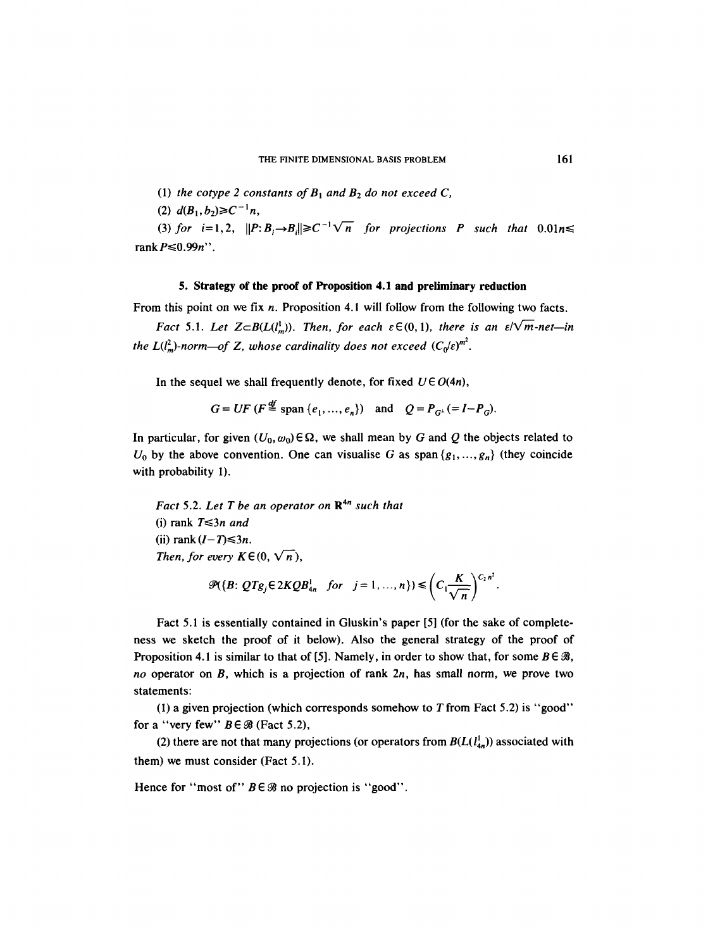(1) the *cotype 2* constants of 
$$
B_1
$$
 and  $B_2$  do not exceed C,

 $(2)$   $d(B_1, b_2) \ge C^{-1}n$ ,

(3) for  $i=1,2$ ,  $||P:B_i\rightarrow B_i||\geq C^{-1}\sqrt{n}$  for projections P such that  $0.01n\leq$ rank  $P \leq 0.99n$ ".

# **5. Strategy of the proof of Proposition 4.1 and preliminary reduction**

From this point on we fix n. Proposition 4.1 will follow from the following two facts.

*Fact* 5.1. *Let*  $Z \subseteq B(L(l_m^1))$ . *Then, for each*  $\varepsilon \in (0, 1)$ *, there is an*  $\varepsilon / \sqrt{m}$ *-net-in the L(l<sup>2</sup><sub>n</sub>)-norm—of Z, whose cardinality does not exceed*  $(C_0/\varepsilon)^{m^2}$ *.* 

In the sequel we shall frequently denote, for fixed  $U \in O(4n)$ ,

 $G=UF(F \stackrel{\text{df}}{=} \text{span} \{e_1, ..., e_n\})$  and  $Q=P_{G^{\perp}}(=I-P_G)$ .

In particular, for given  $(U_0, \omega_0) \in \Omega$ , we shall mean by G and Q the objects related to  $U_0$  by the above convention. One can visualise G as span  $\{g_1, ..., g_n\}$  (they coincide with probability I).

*Fact* 5.2. Let T be an operator on  $\mathbb{R}^{4n}$  such that (i) rank  $T \leq 3n$  and (ii) rank  $(I-T) \leq 3n$ . *Then, for every K*  $\in$  (0,  $\sqrt{n}$ ),

$$
\mathcal{P}(\lbrace B: \, QTg_j \in 2KQB^1_{4n} \quad \text{for} \quad j=1,\ldots,n \rbrace) \leqslant \left(C_1 \frac{K}{\sqrt{n}}\right)^{C_2 n^2}.
$$

Fact 5.1 is essentially contained in Giuskin's paper [5] (for the sake of completeness we sketch the proof of it below). Also the general strategy of the proof of Proposition 4.1 is similar to that of [5]. Namely, in order to show that, for some  $B \in \mathcal{B}$ , *no* operator on B, which is a projection of rank 2n, has small norm, we prove two statements:

(1) a given projection (which corresponds somehow to  $T$  from Fact 5.2) is "good" for a "very few"  $B \in \mathcal{B}$  (Fact 5.2),

(2) there are not that many projections (or operators from  $B(L(l_{4n}^1))$  associated with them) we must consider (Fact 5.1).

Hence for "most of"  $B \in \mathcal{B}$  no projection is "good".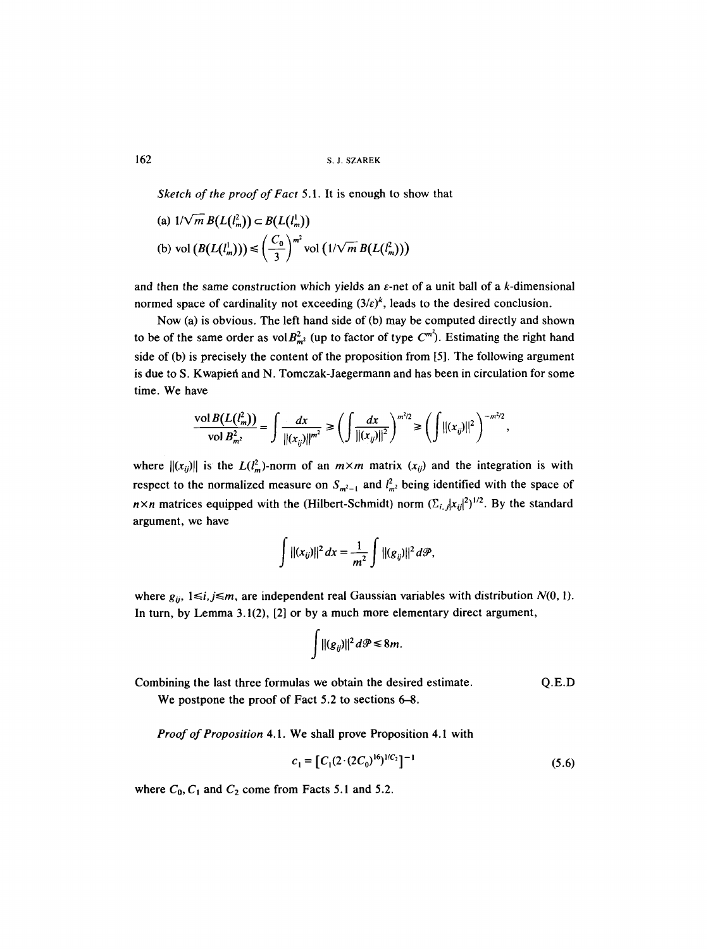162 S. J. SZAREK

*Sketch of the proof of Fact* 5.1. It is enough to show that

(a) 
$$
1/\sqrt{m} B(L(l_m^1)) \subset B(L(l_m^1))
$$
  
\n(b) vol  $(B(L(l_m^1))) \leq \left(\frac{C_0}{3}\right)^{m^2}$  vol  $(1/\sqrt{m} B(L(l_m^2)))$ 

and then the same construction which yields an  $\varepsilon$ -net of a unit ball of a k-dimensional normed space of cardinality not exceeding  $(3/\varepsilon)^k$ , leads to the desired conclusion.

Now (a) is obvious. The left hand side of (b) may be computed directly and shown to be of the same order as vol  $B_{m}^2$  (up to factor of type  $C^{m^2}$ ). Estimating the right hand side of (b) is precisely the content of the proposition from [5]. The following argument is due to S. Kwapieti and N. Tomczak-Jaegermann and has been in circulation for some time. We have

$$
\frac{\text{vol }B(L(l_m^2))}{\text{vol }B_{m^2}^2} = \int \frac{dx}{\|(x_{ij})\|^{m^2}} \ge \left(\int \frac{dx}{\|(x_{ij})\|^2}\right)^{m^2/2} \ge \left(\int \|(x_{ij})\|^2\right)^{-m^2/2},
$$

where  $||(x_{ij})||$  is the  $L(l_m^2)$ -norm of an  $m \times m$  matrix  $(x_{ij})$  and the integration is with respect to the normalized measure on  $S_{m^2-1}$  and  $l_{m^2}^2$  being identified with the space of  $n \times n$  matrices equipped with the *(Hilbert-Schmidt)* norm  $(\Sigma_{i,j}|x_{ij}|^2)^{1/2}$ . By the standard argument, we have

$$
\int ||(x_{ij})||^2 dx = \frac{1}{m^2} \int ||(g_{ij})||^2 d\mathcal{P},
$$

where  $g_{ij}$ ,  $1 \le i, j \le m$ , are independent real Gaussian variables with distribution  $N(0, 1)$ . In turn, by Lemma 3.1(2), [2] or by a much more elementary direct argument,

$$
\int \|(g_{ij})\|^2\,d\mathcal{P}\leq 8m.
$$

Combining the last three formulas we obtain the desired estimate. Q.E.D

We postpone the proof of Fact 5.2 to sections 6-8.

*Proof of Proposition* 4.1. We shall prove Proposition 4.1 with

$$
c_1 = [C_1(2 \cdot (2C_0)^{16})^{1/C_2}]^{-1}
$$
\n(5.6)

where  $C_0$ ,  $C_1$  and  $C_2$  come from Facts 5.1 and 5.2.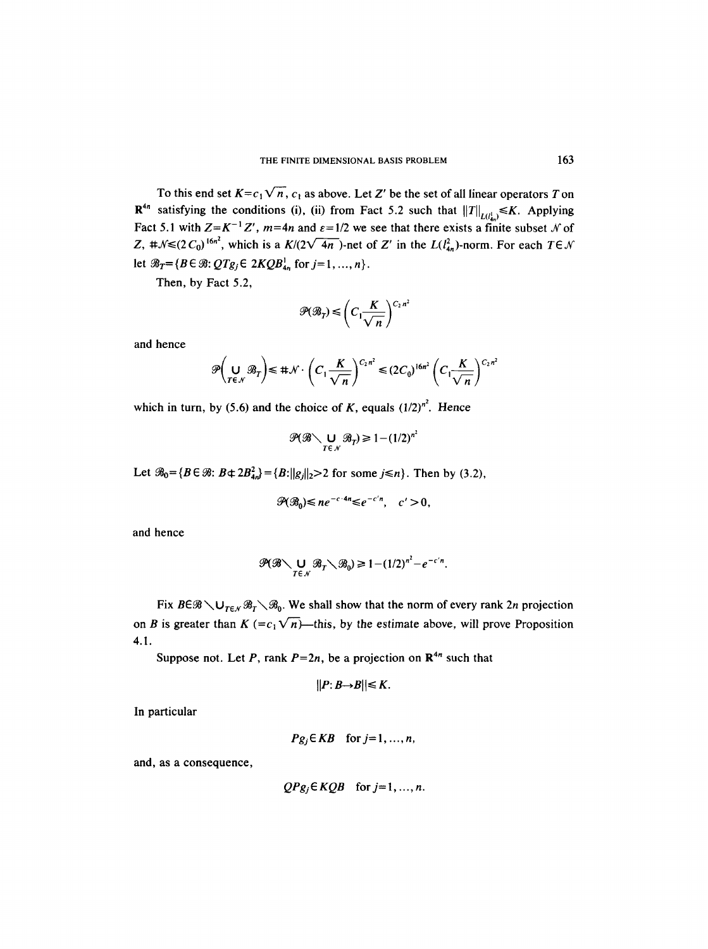To this end set  $K = c_1 \sqrt{n}$ ,  $c_1$  as above. Let Z' be the set of all linear operators T on  $\mathbb{R}^{4n}$  satisfying the conditions (i), (ii) from Fact 5.2 such that  $||T||_{L(l_n)} \le K$ . Applying Fact 5.1 with  $Z=K^{-1}Z'$ ,  $m=4n$  and  $\varepsilon=1/2$  we see that there exists a finite subset N of Z,  $\sharp \mathcal{N} \leq (2 C_0)^{16n^2}$ , which is a  $K/(2\sqrt{4n})$ -net of Z' in the  $L(l_{4n}^2)$ -norm. For each  $T \in \mathcal{N}$ let  $\mathcal{B}_T = {B \in \mathcal{B}: QTg_j \in 2KQB^1_{4n}}$  for  $j=1, ..., n$ .

Then, by Fact 5.2,

$$
\mathcal{P}(\mathcal{B}_T) \leqslant \left(C_1 \frac{K}{\sqrt{n}}\right)^{C_2 n^2}
$$

and hence

$$
\mathscr{P}\left(\bigcup_{T\in\mathcal{N}}\mathscr{B}_T\right)\leq \#\mathcal{N}\cdot\left(C_1\frac{K}{\sqrt{n}}\right)^{C_2n^2}\leq (2C_0)^{16n^2}\left(C_1\frac{K}{\sqrt{n}}\right)^{C_2n^2}
$$

which in turn, by (5.6) and the choice of K, equals  $(1/2)^{n^2}$ . Hence

$$
\mathcal{P}(\mathcal{B}\setminus \bigcup_{T\in\mathcal{N}}\mathcal{B}_T)\geq 1-(1/2)^{n^2}
$$

Let  $\mathcal{B}_0 = \{B \in \mathcal{B}: B \notin 2B_{4n}^2\} = \{B: ||g||_2 > 2 \text{ for some } j \le n\}$ . Then by (3.2),

$$
\mathcal{P}(\mathcal{B}_0)\leq n e^{-c\cdot 4n}\leq e^{-c'n},\quad c'>0,
$$

and hence

$$
\mathscr{P}(\mathscr{B}\setminus \bigcup_{T\in\mathscr{N}}\mathscr{B}_T\setminus\mathscr{B}_0)\geq 1-(1/2)^{n^2}-e^{-c'n}.
$$

Fix  $B \in \mathcal{B} \setminus \bigcup_{T \in \mathcal{N}} \mathcal{B}_T \setminus \mathcal{B}_0$ . We shall show that the norm of every rank 2n projection on B is greater than  $K = c_1 \sqrt{n}$ —this, by the estimate above, will prove Proposition 4.1.

Suppose not. Let P, rank  $P=2n$ , be a projection on  $\mathbb{R}^{4n}$  such that

$$
||P:B\rightarrow B||\leq K.
$$

In particular

$$
Pg_j \in KB
$$
 for  $j=1, ..., n$ ,

and, as a consequence,

$$
QPg_j \in KQB \quad \text{for } j=1,\ldots,n.
$$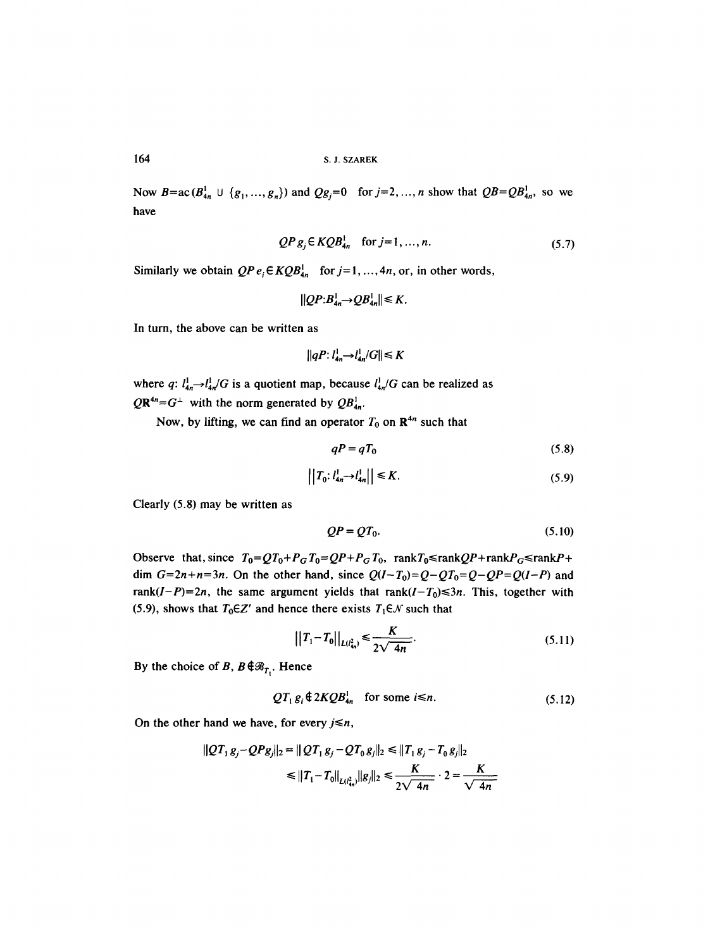Now  $B = ac(B_{4n}^1 \cup \{g_1, ..., g_n\})$  and  $Qg_j = 0$  for  $j = 2, ..., n$  show that  $QB = QB_{4n}^1$ , so we have

$$
QP \, g_j \in KQB^1_{4n} \quad \text{for } j=1, \dots, n. \tag{5.7}
$$

Similarly we obtain  $QP e_i \in KQB_{4n}^1$  for  $j=1, ..., 4n$ , or, in other words,

$$
||QP:B_{4n}^1 \rightarrow QB_{4n}^1|| \leq K.
$$

In turn, the above can be written as

$$
||qP: l_{4n}^1 \rightarrow l_{4n}^1/G|| \leq K
$$

where q:  $l_{4n}^{1} \rightarrow l_{4n}^{1}/G$  is a quotient map, because  $l_{4n}^{1}/G$  can be realized as  $QR^{4n}=G^{\perp}$  with the norm generated by  $QB^{1}_{4n}$ .

Now, by lifting, we can find an operator  $T_0$  on  $\mathbb{R}^{4n}$  such that

$$
qP = qT_0 \tag{5.8}
$$

$$
\left| \left| T_0 : l_{4n}^1 \to l_{4n}^1 \right| \right| \le K. \tag{5.9}
$$

Clearly (5.8) may be written as

$$
QP = QT_0. \tag{5.10}
$$

Observe that, since  $T_0 = QT_0+P_GT_0=QP+P_GT_0$ , rank $T_0 \leq \text{rank}P + \text{rank}P_G \leq \text{rank}P + \text{rank}P_G$ dim  $G=2n+n=3n$ . On the other hand, since  $Q(I-T_0)=Q-QT_0=Q-QP=Q(I-P)$  and rank( $I-P$ )=2n, the same argument yields that  $rank(I-T_0) \leq 3n$ . This, together with (5.9), shows that  $T_0 \in Z'$  and hence there exists  $T_1 \in \mathcal{N}$  such that

$$
||T_1 - T_0||_{L(l_{4n}^2)} \le \frac{K}{2\sqrt{4n}}.
$$
\n(5.11)

By the choice of B,  $B \notin \mathcal{B}_{T_1}$ . Hence

$$
QT_1 g_i \mathbin{\#} 2 KQB^1_{4n} \quad \text{for some } i \leq n. \tag{5.12}
$$

On the other hand we have, for every  $j \le n$ ,

$$
||QT_1g_j - QPg_j||_2 = ||QT_1g_j - QT_0g_j||_2 \le ||T_1g_j - T_0g_j||_2
$$
  
 
$$
\le ||T_1 - T_0||_{L(l_H^2)}||g_j||_2 \le \frac{K}{2\sqrt{4n}} \cdot 2 = \frac{K}{\sqrt{4n}}
$$

164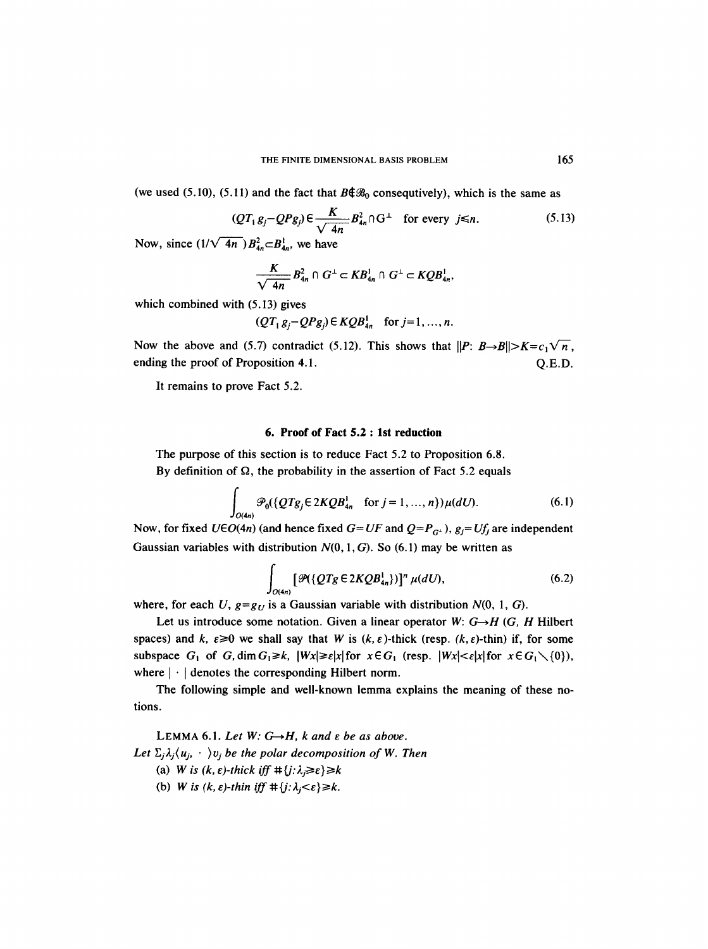(we used (5.10), (5.11) and the fact that  $B\llbracket\mathcal{B}_0$  consequtively), which is the same as

$$
(QT_1g_j - QPg_j) \in \frac{K}{\sqrt{4n}} B_{4n}^2 \cap G^{\perp} \quad \text{for every } j \le n. \tag{5.13}
$$

Now, since  $\left(\frac{1}{\sqrt{4n}}\right)B_{4n}^2 \subset B_{4n}^1$ , we have

$$
\frac{K}{\sqrt{4n}}B_{4n}^2\cap G^{\perp}\subset KB_{4n}^1\cap G^{\perp}\subset KQB_{4n}^1,
$$

which combined with (5.13) gives

$$
(QT1gj-QPgj) \in KQB4n1 \text{ for } j=1,...,n.
$$

Now the above and (5.7) contradict (5.12). This shows that  $||P: B \rightarrow B|| > K = c_1 \sqrt{n}$ , ending the proof of Proposition 4.1. C.E.D.

It remains to prove Fact 5.2.

# **6. Proof of Fact 5.2 : 1st reduction**

The purpose of this section is to reduce Fact 5.2 to Proposition 6.8. By definition of  $\Omega$ , the probability in the assertion of Fact 5.2 equals

$$
\int_{O(4n)} \mathcal{P}_0(\{Q T g_j \in 2K Q B_{4n}^1 \text{ for } j = 1, ..., n\}) \mu(dU). \tag{6.1}
$$

Now, for fixed  $U \in O(4n)$  (and hence fixed  $G = UF$  and  $Q = P_{G^{\perp}}$ ),  $g_i = Uf_i$  are independent Gaussian variables with distribution  $N(0, 1, G)$ . So (6.1) may be written as

$$
\int_{O(4n)} \left[ \mathcal{P}(\{QTg \in 2KQB_{4n}^1\}) \right]^n \mu(dU), \tag{6.2}
$$

where, for each U,  $g = g_U$  is a Gaussian variable with distribution  $N(0, 1, G)$ .

Let us introduce some notation. Given a linear operator W:  $G \rightarrow H$  (G, H Hilbert spaces) and k,  $\varepsilon \ge 0$  we shall say that W is  $(k, \varepsilon)$ -thick (resp.  $(k, \varepsilon)$ -thin) if, for some subspace  $G_1$  of  $G$ , dim  $G_1 \ge k$ ,  $|Wx| \ge \varepsilon |x|$  for  $x \in G_1$  (resp.  $|Wx| < \varepsilon |x|$  for  $x \in G_1 \setminus \{0\}$ ), where  $|\cdot|$  denotes the corresponding Hilbert norm.

The following simple and well-known lemma explains the meaning of these notions.

LEMMA 6.1. Let  $W: G \rightarrow H$ , k and  $\varepsilon$  be as above. Let  $\Sigma_j \lambda_j \langle u_j, \cdot \cdot \rangle v_j$  *be the polar decomposition of W. Then* 

- (a) *W* is  $(k, \varepsilon)$ -thick if  $f \neq \{j : \lambda_j \geq \varepsilon\} \geq k$
- (b) *W* is  $(k, \varepsilon)$ -thin iff  $\# \{j : \lambda_j < \varepsilon\} \ge k$ .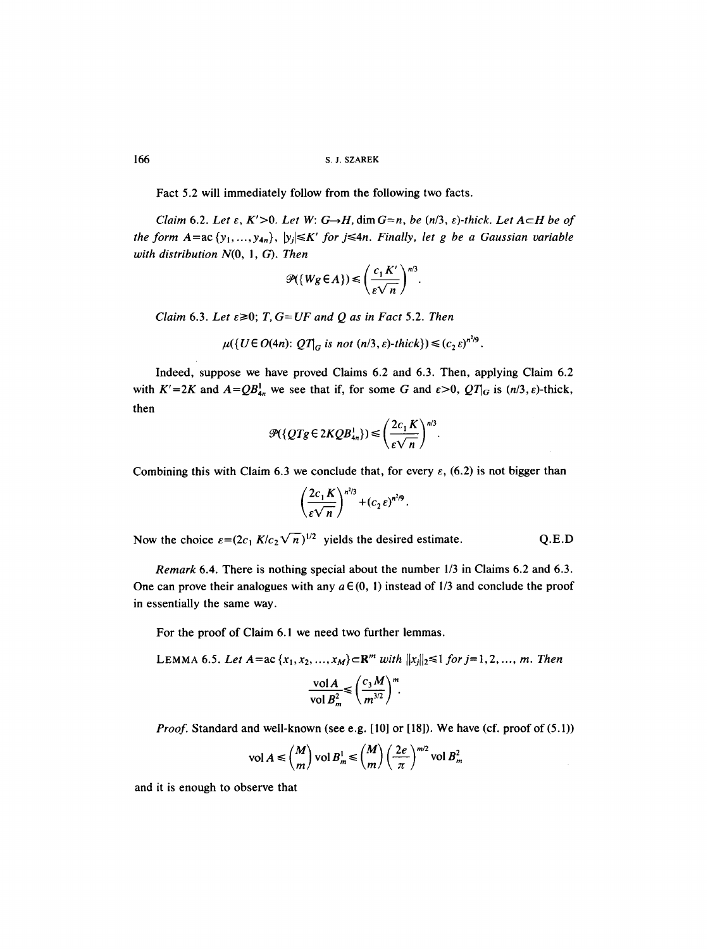166 S.J. SZAREK

Fact 5.2 will immediately follow from the following two facts.

*Claim* 6.2. *Let*  $\varepsilon$ ,  $K' > 0$ . *Let*  $W: G \rightarrow H$ ,  $\dim G = n$ , *be*  $(n/3, \varepsilon)$ -thick. *Let*  $A \subset H$  *be* of *the form A*=ac { $y_1$ , ...,  $y_{4n}$ },  $|y_j| \le K'$  *for j* ≤4*n. Finally, let g be a Gaussian variable with distribution N(O, l, G). Then* 

$$
\mathcal{P}(\{Wg\in A\}) \leq \left(\frac{c_1 K'}{\varepsilon\sqrt{n}}\right)^{n/3}.
$$

*Claim* 6.3. *Let*  $\varepsilon \ge 0$ ; *T*,  $G=UF$  *and Q as in Fact* 5.2. *Then* 

$$
\mu({U \in O(4n): QT|_G \text{ is not } (n/3, \varepsilon)\text{-thick}}) \leq (c_2 \varepsilon)^{n^2/9}.
$$

Indeed, suppose we have proved Claims 6.2 and 6.3. Then, applying Claim 6.2 with  $K' = 2K$  and  $A = QB_{4n}^1$  we see that if, for some G and  $\varepsilon > 0$ ,  $QT_{G}$  is  $(n/3, \varepsilon)$ -thick, then

$$
\mathcal{P}(\lbrace QTg \in 2KQB_{4n}^{1}\rbrace) \leq \left(\frac{2c_1 K}{\varepsilon\sqrt{n}}\right)^{n/3}.
$$

Combining this with Claim 6.3 we conclude that, for every  $\varepsilon$ , (6.2) is not bigger than

$$
\left(\frac{2c_1 K}{\varepsilon \sqrt{n}}\right)^{n^2/3} + (c_2 \varepsilon)^{n^2/9}.
$$

Now the choice  $\varepsilon = (2c_1 K/c_2 \sqrt{n})^{1/2}$  yields the desired estimate. Q.E.D

*Remark* 6.4. There is nothing special about the number 1/3 in Claims 6.2 and 6.3. One can prove their analogues with any  $a \in (0, 1)$  instead of 1/3 and conclude the proof in essentially the same way.

For the proof of Claim 6. l we need two further lemmas.

LEMMA 6.5. Let  $A = ac \{x_1, x_2, ..., x_M\} \subset \mathbb{R}^m$  with  $||x_i||_2 \leq 1$  for  $j = 1, 2, ..., m$ . Then  $\mathbf{1}$   $\mathbf{1}$   $\mathbf{1}$   $\mathbf{1}$   $\mathbf{1}$   $\mathbf{1}$   $\mathbf{1}$   $\mathbf{1}$   $\mathbf{1}$   $\mathbf{1}$   $\mathbf{1}$   $\mathbf{1}$   $\mathbf{1}$   $\mathbf{1}$   $\mathbf{1}$   $\mathbf{1}$   $\mathbf{1}$   $\mathbf{1}$   $\mathbf{1}$   $\mathbf{1}$   $\mathbf{1}$   $\mathbf{1}$   $\mathbf{1}$   $\mathbf{1}$   $\mathbf{$ 

$$
\frac{\text{vol}\,A}{\text{vol}\,B_m^2} \leq \left(\frac{c_3\,M}{m^{3/2}}\right)^m.
$$

*Proof.* Standard and well-known (see e.g. [10] or [18]). We have (cf. proof of (5.1))

$$
\text{vol } A \le \binom{M}{m} \text{vol } B_m^1 \le \binom{M}{m} \left(\frac{2e}{\pi}\right)^{m/2} \text{vol } B_m^2
$$

and it is enough to observe that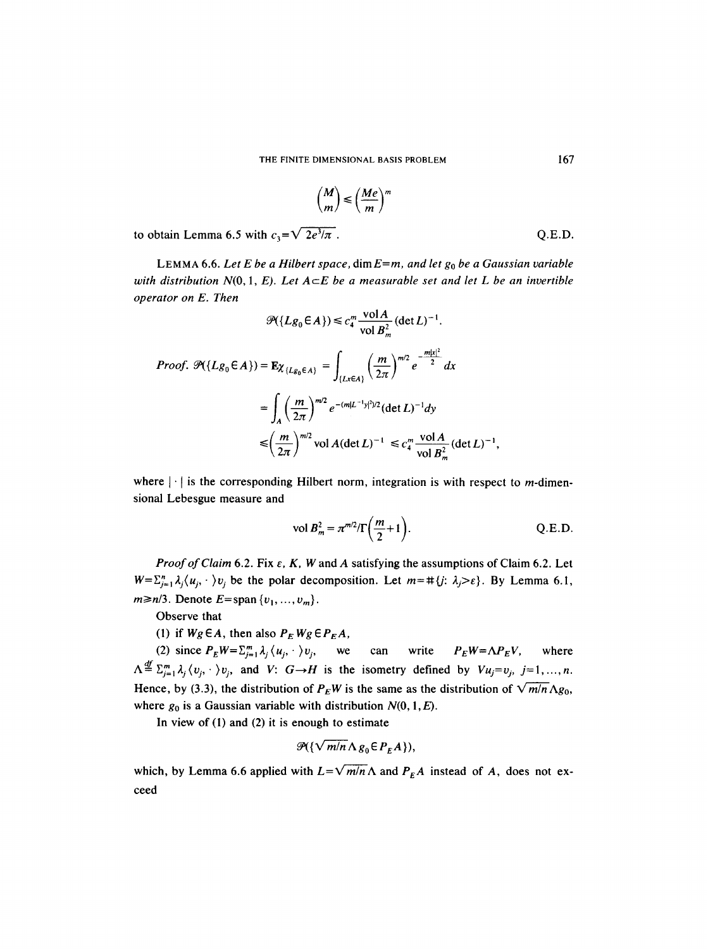$$
\binom{M}{m} \leqslant \left(\frac{Me}{m}\right)^m
$$

to obtain Lemma 6.5 with  $c_3 = \sqrt{2e^3/\pi}$ . Q.E.D.

LEMMA 6.6. Let E be a Hilbert space,  $\dim E = m$ , and let  $g_0$  be a Gaussian variable *with distribution N(0,1, E). Let*  $A \subseteq E$  *be a measurable set and let* L *be an invertible operator on E. Then* 

$$
\mathcal{P}(\lbrace Lg_0 \in A \rbrace) \leq c_4^m \frac{\text{vol } A}{\text{vol } B_m^2} (\det L)^{-1}.
$$
  
\nProof. 
$$
\mathcal{P}(\lbrace Lg_0 \in A \rbrace) = \mathbf{E}\chi_{\lbrace Lg_0 \in A \rbrace} = \int_{\lbrace Lx \in A \rbrace} \left(\frac{m}{2\pi}\right)^{m/2} e^{-\frac{m|x|^2}{2}} dx
$$
  
\n
$$
= \int_A \left(\frac{m}{2\pi}\right)^{m/2} e^{-(m|L^{-1}y|^2)/2} (\det L)^{-1} dy
$$
  
\n
$$
\leq \left(\frac{m}{2\pi}\right)^{m/2} \text{vol } A (\det L)^{-1} \leq c_4^m \frac{\text{vol } A}{\text{vol } B_m^2} (\det L)^{-1},
$$

where  $|\cdot|$  is the corresponding Hilbert norm, integration is with respect to *m*-dimensional Lebesgue measure and

$$
\text{vol } B_m^2 = \pi^{m/2} / \Gamma\left(\frac{m}{2} + 1\right). \tag{Q.E.D.}
$$

*Proof of Claim* 6.2. Fix  $\varepsilon$ , K, W and A satisfying the assumptions of Claim 6.2. Let  $W = \sum_{i=1}^{n} \lambda_i \langle u_i, \cdot \rangle v_i$  be the polar decomposition. Let  $m = \#\{j: \lambda_j > \varepsilon\}$ . By Lemma 6.1,  $m \ge n/3$ . Denote  $E = \text{span}\{v_1, \ldots, v_m\}$ .

Observe that

(1) if  $Wg\in A$ , then also  $P_EWg\in P_EA$ ,

(2) since  $P_E W = \sum_{j=1}^m \lambda_j \langle u_j, \cdot \rangle v_j$ , we can write  $P_E W = \Lambda P_E V$ , where  $\Lambda \stackrel{\text{df}}{=} \sum_{j=1}^{m} \lambda_j \langle v_j, \cdot \rangle v_j$ , and *V*:  $G \rightarrow H$  is the isometry defined by  $Vu_j = v_j$ ,  $j = 1, ..., n$ . Hence, by (3.3), the distribution of  $P_EW$  is the same as the distribution of  $\sqrt{m/n} \Lambda g_0$ , where  $g_0$  is a Gaussian variable with distribution  $N(0, 1, E)$ .

In view of (1) and (2) it is enough to estimate

$$
\mathcal{P}(\{\sqrt{m/n}\Lambda g_0 \in P_E A\}),
$$

which, by Lemma 6.6 applied with  $L=\sqrt{m/n} \Lambda$  and  $P_E A$  instead of A, does not exceed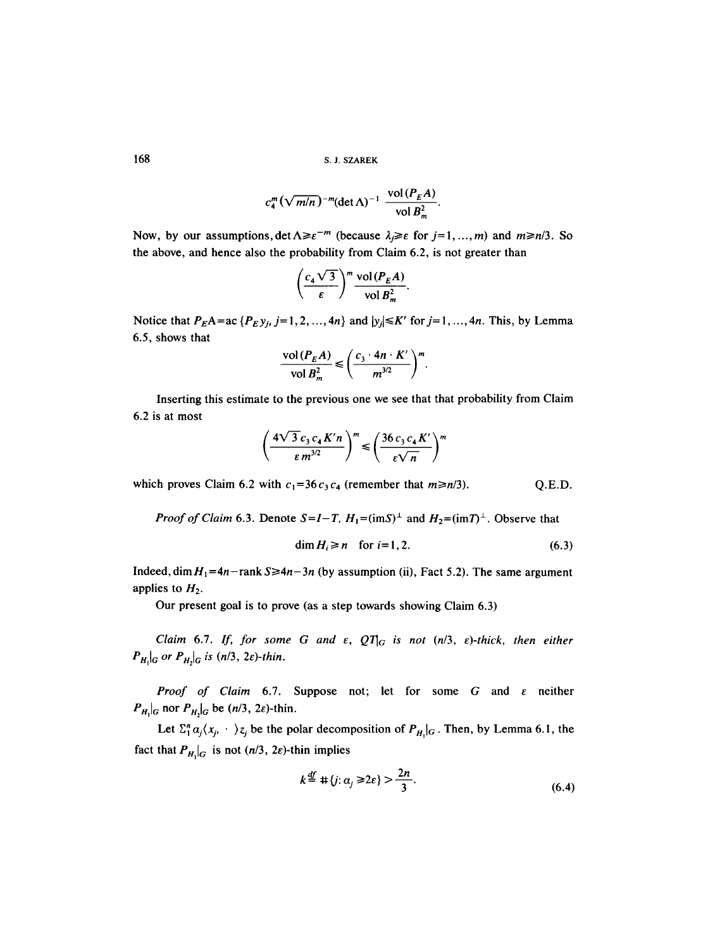**168 s.J. SZAREK** 

$$
c_4^m \left(\sqrt{m/n}\right)^{-m} (\det \Lambda)^{-1} \frac{\text{vol}(P_E A)}{\text{vol } B_m^2}
$$

Now, by our assumptions,  $\det \Lambda \geq \varepsilon^{-m}$  (because  $\lambda \geq \varepsilon$  for  $j=1, ..., m$ ) and  $m\geq n/3$ . So the above, and hence also the probability from Claim 6.2, is not greater than

$$
\left(\frac{c_4\sqrt{3}}{\varepsilon}\right)^m \frac{\text{vol}(P_{\varepsilon}A)}{\text{vol} B_m^2}.
$$

Notice that  $P_E A = ac \{P_E y_j, j=1,2, ..., 4n\}$  and  $|y_j| \le K'$  for  $j=1, ..., 4n$ . This, by Lemma 6.5, shows that

$$
\frac{\text{vol}(P_E A)}{\text{vol } B_m^2} \leqslant \left(\frac{c_3 \cdot 4n \cdot K'}{m^{3/2}}\right)^m.
$$

Inserting this estimate to the previous one we see that that probability from Claim 6.2 is at most

$$
\left(\frac{4\sqrt{3}c_3c_4K'n}{\varepsilon m^{3/2}}\right)^m \leq \left(\frac{36c_3c_4K'}{\varepsilon\sqrt{n}}\right)^m
$$

which proves Claim 6.2 with  $c_1=36c_3c_4$  (remember that  $m\geq n/3$ ). Q.E.D.

*Proof of Claim* 6.3. Denote  $S = I - T$ ,  $H_1 = (imS)^{\perp}$  and  $H_2 = (imT)^{\perp}$ . Observe that

$$
\dim H_i \ge n \quad \text{for } i = 1, 2. \tag{6.3}
$$

Indeed, dim  $H_1=4n$ -rank  $S\geq 4n-3n$  (by assumption (ii), Fact 5.2). The same argument applies to  $H_2$ .

Our present goal is to prove (as a step towards showing Claim 6.3)

*Claim 6.7. If, for some G and*  $\varepsilon$ *,*  $QT_G$  *is not (n/3,*  $\varepsilon$ *)-thick, then either*  $P_{H_1|G}$  or  $P_{H_2|G}$  is (n/3, 2 $\varepsilon$ )-thin.

*Proof of Claim* 6.7. Suppose not; let for some G and e neither  $P_{H_1}|_G$  nor  $P_{H_2}|_G$  be  $(n/3, 2\varepsilon)$ -thin.

Let  $\Sigma_1^n \alpha_j \langle x_j, \cdot \cdot \rangle_{z_j}$  be the polar decomposition of  $P_{H_1}|_G$ . Then, by Lemma 6.1, the fact that  $P_{H_1}|_G$  is not  $(n/3, 2\varepsilon)$ -thin implies

$$
k \stackrel{\text{df}}{=} \# \{ j : \alpha_j \ge 2\epsilon \} > \frac{2n}{3}.
$$
 (6.4)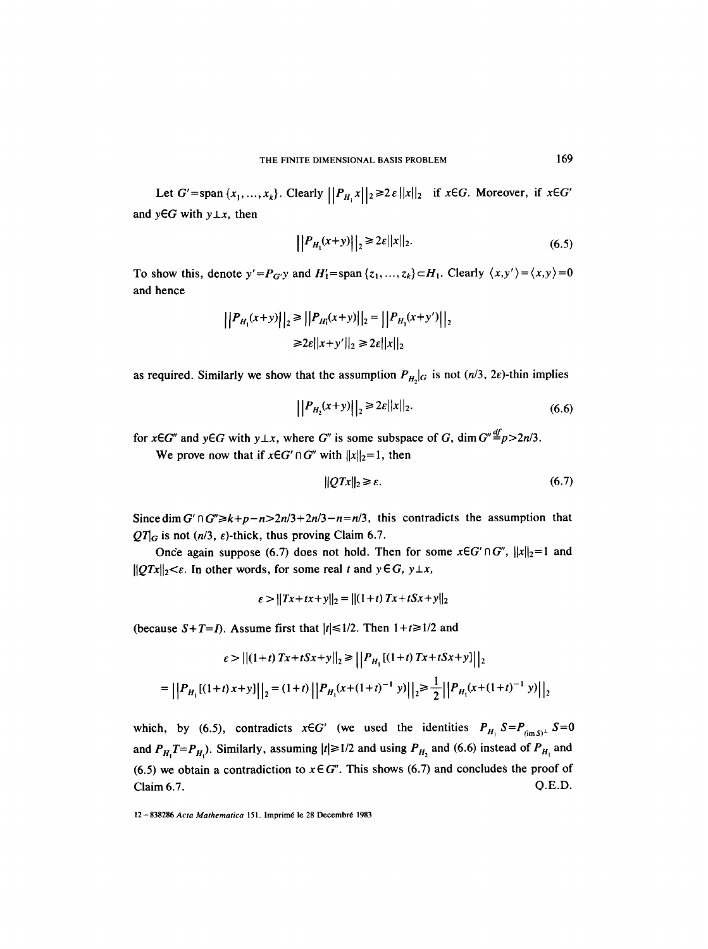Let  $G'$ =span $\{x_1, ..., x_k\}$ . Clearly  $\left|\left|P_{H_1}x\right|\right|_2 \geq 2\varepsilon ||x||_2$  if  $x \in G$ . Moreover, if  $x \in G'$ and  $y \in G$  with  $y \perp x$ , then

$$
||P_{H_1}(x+y)||_2 \ge 2\varepsilon||x||_2.
$$
 (6.5)

To show this, denote  $y' = P_{G'}y$  and  $H'_1 = \text{span} \{z_1, ..., z_k\} \subset H_1$ . Clearly  $\langle x, y' \rangle = \langle x, y \rangle = 0$ and hence

$$
||P_{H_1}(x+y)||_2 \ge ||P_{H_1}(x+y)||_2 = ||P_{H_1}(x+y')||_2
$$
  

$$
\ge 2\varepsilon||x+y'||_2 \ge 2\varepsilon||x||_2
$$

as required. Similarly we show that the assumption  $P_{H, |G}$  is not (n/3, 2 $\varepsilon$ )-thin implies

$$
||P_{H_2}(x+y)||_2 \ge 2\varepsilon ||x||_2.
$$
 (6.6)

for  $x \in G''$  and  $y \in G$  with  $y \perp x$ , where G'' is some subspace of G, dim  $G'' \stackrel{df}{=} p > 2n/3$ .

We prove now that if  $x \in G' \cap G''$  with  $||x||_2 = 1$ , then

$$
||QTx||_2 \geq \varepsilon. \tag{6.7}
$$

Since dim G'nG" $\ge k+p-n>2n/3+2n/3-n=n/3$ , this contradicts the assumption that  $QT_{\rm G}$  is not (n/3,  $\varepsilon$ )-thick, thus proving Claim 6.7.

Once again suppose (6.7) does not hold. Then for some  $x \in G' \cap G''$ ,  $||x||_2 = 1$  and  $||QTx||_2 < \varepsilon$ . In other words, for some real t and  $y \in G$ ,  $y \perp x$ ,

$$
\varepsilon > ||Tx + tx + y||_2 = ||(1+t) Tx + tSx + y||_2
$$

(because  $S+T=I$ ). Assume first that  $|t| \leq 1/2$ . Then  $1+t \geq 1/2$  and

$$
\varepsilon > ||(1+t)Tx+tSx+y||_2 \ge ||P_{H_1}[(1+t)Tx+tSx+y]||_2
$$
  
=  $||P_{H_1}[(1+t)x+y]||_2 = (1+t) ||P_{H_1}(x+(1+t)^{-1}y)||_2 \ge \frac{1}{2} ||P_{H_1}(x+(1+t)^{-1}y)||_2$ 

which, by (6.5), contradicts  $x \in G'$  (we used the identities  $P_{H_1} S = P_{(imS)^{\perp}} S = 0$ and  $P_{H_1}T=P_{H_1}$ . Similarly, assuming  $|t|\geq 1/2$  and using  $P_{H_2}$  and (6.6) instead of  $P_{H_1}$  and (6.5) we obtain a contradiction to  $x \in G''$ . This shows (6.7) and concludes the proof of Claim 6.7. Q.E.D.

<sup>12-838286</sup> Acta Mathematica 151. Imprimé le 28 Decembré 1983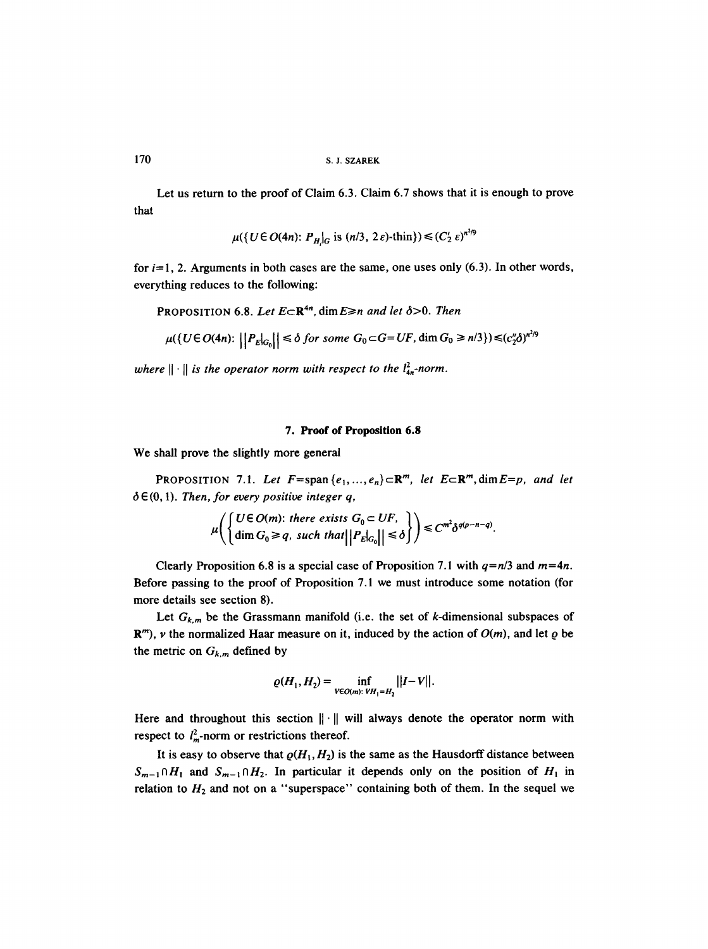that Let us return to the proof of Claim 6.3. Claim 6.7 shows that it is enough to prove

$$
\mu({U \in O(4n): P_H|_G \text{ is } (n/3, 2\varepsilon) \text{-thin}}) \leq (C_2' \varepsilon)^{n^{2/9}}
$$

for  $i=1$ , 2. Arguments in both cases are the same, one uses only (6.3). In other words, everything reduces to the following:

PROPOSITION 6.8. Let  $E \subset \mathbb{R}^{4n}$ , dim  $E \ge n$  *and let*  $\delta > 0$ . *Then* 

$$
\mu(\lbrace U \in O(4n) : \left| \left| P_E \right|_{G_0} \right| \leq \delta \text{ for some } G_0 \subset G = UF, \dim G_0 \geq n/3 \rbrace) \leq (c_2^n \delta)^{n^2/9}
$$

*where*  $\|\cdot\|$  *is the operator norm with respect to the*  $l_{4n}^2$ -norm.

## **7. Proof of Proposition 6.8**

We shall prove the slightly more general

PROPOSITION 7.1. Let  $F=span\{e_1,...,e_n\} \subset \mathbb{R}^m$ , let  $E\subset \mathbb{R}^m$ , dim $E=p$ , and let  $\delta \in (0, 1)$ . Then, for every positive integer q,

$$
\mu\left(\begin{cases} U \in O(m): \text{ there exists } G_0 \subset UF, \\ \dim G_0 \ge q, \text{ such that } ||P_E|_{G_0}|| \le \delta \end{cases}\right) \le C^{m^2} \delta^{q(p-n-q)}.
$$

Clearly Proposition 6.8 is a special case of Proposition 7.1 with  $q=n/3$  and  $m=4n$ . Before passing to the proof of Proposition 7.1 we must introduce some notation (for more details see section 8).

Let  $G_{k,m}$  be the Grassmann manifold (i.e. the set of k-dimensional subspaces of  $\mathbb{R}^m$ , v the normalized Haar measure on it, induced by the action of  $O(m)$ , and let  $\rho$  be the metric on  $G_{k,m}$  defined by

$$
\varrho(H_1, H_2) = \inf_{V \in O(m): \; V H_1 = H_2} ||I - V||.
$$

Here and throughout this section  $\|\cdot\|$  will always denote the operator norm with respect to  $l_m^2$ -norm or restrictions thereof.

It is easy to observe that  $\rho(H_1,H_2)$  is the same as the Hausdorff distance between  $S_{m-1} \cap H_1$  and  $S_{m-1} \cap H_2$ . In particular it depends only on the position of  $H_1$  in relation to  $H_2$  and not on a "superspace" containing both of them. In the sequel we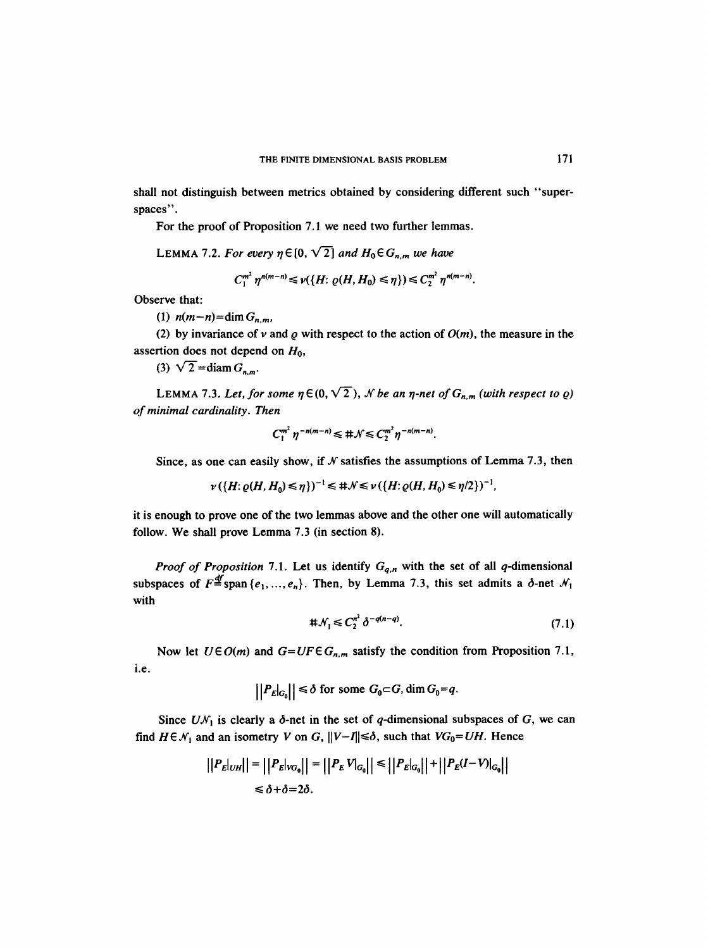shall not distinguish between metrics obtained by considering different such "superspaces".

For the proof of Proposition 7.1 we need two further lemmas.

LEMMA 7.2. For every  $\eta \in [0, \sqrt{2}]$  and  $H_0 \in G_{n,m}$  we have

$$
C_1^{m^2} \eta^{n(m-n)} \leq \nu(\{H: \varrho(H, H_0) \leq \eta\}) \leq C_2^{m^2} \eta^{n(m-n)}.
$$

Observe that:

(1)  $n(m-n)=\dim G_{n,m}$ 

(2) by invariance of v and  $\rho$  with respect to the action of  $O(m)$ , the measure in the assertion does not depend on  $H_0$ ,

(3)  $\sqrt{2} = \text{diam } G_{n,m}$ .

LEMMA 7.3. Let, for some  $\eta \in (0, \sqrt{2})$ , N be an  $\eta$ -net of  $G_{n,m}$  (with respect to  $\varrho$ ) *of minimal cardinality. Then* 

$$
C_1^{m^2} \eta^{-n(m-n)} \leq \#\mathcal{N} \leq C_2^{m^2} \eta^{-n(m-n)}.
$$

Since, as one can easily show, if  $N$  satisfies the assumptions of Lemma 7.3, then

$$
\nu (\{H: \varrho(H, H_0) \leq \eta\})^{-1} \leq \# \mathcal{N} \leq \nu (\{H: \varrho(H, H_0) \leq \eta/2\})^{-1},
$$

it is enough to prove one of the two lemmas above and the other one will automatically follow. We shall prove Lemma 7.3 (in section 8).

*Proof of Proposition* 7.1. Let us identify *Gq,n* with the set of all q-dimensional subspaces of  $F = \text{span} \{e_1, ..., e_n\}$ . Then, by Lemma 7.3, this set admits a  $\delta$ -net  $\mathcal{N}_1$ with

$$
\# \mathcal{N}_1 \leq C_2^{n^2} \delta^{-q(n-q)}.\tag{7.1}
$$

i.e. Now let  $U \in O(m)$  and  $G=UF \in G_{n,m}$  satisfy the condition from Proposition 7.1,

$$
\left|\left|P_E\right|_{G_0}\right|\right| \leq \delta \text{ for some } G_0 \subset G, \dim G_0 = q.
$$

Since  $U\mathcal{N}_1$  is clearly a  $\delta$ -net in the set of q-dimensional subspaces of G, we can find  $H \in \mathcal{N}_1$  and an isometry V on G,  $||V-I|| \le \delta$ , such that  $VG_0 = UH$ . Hence

$$
\left| \left| P_E|_{UH} \right| \right| = \left| \left| P_E|_{VG_0} \right| \right| = \left| \left| P_E|_{VG_0} \right| \right| \le \left| \left| P_E|_{G_0} \right| \right| + \left| \left| P_E(I-V)|_{G_0} \right| \right|
$$
  

$$
\le \delta + \delta = 2\delta.
$$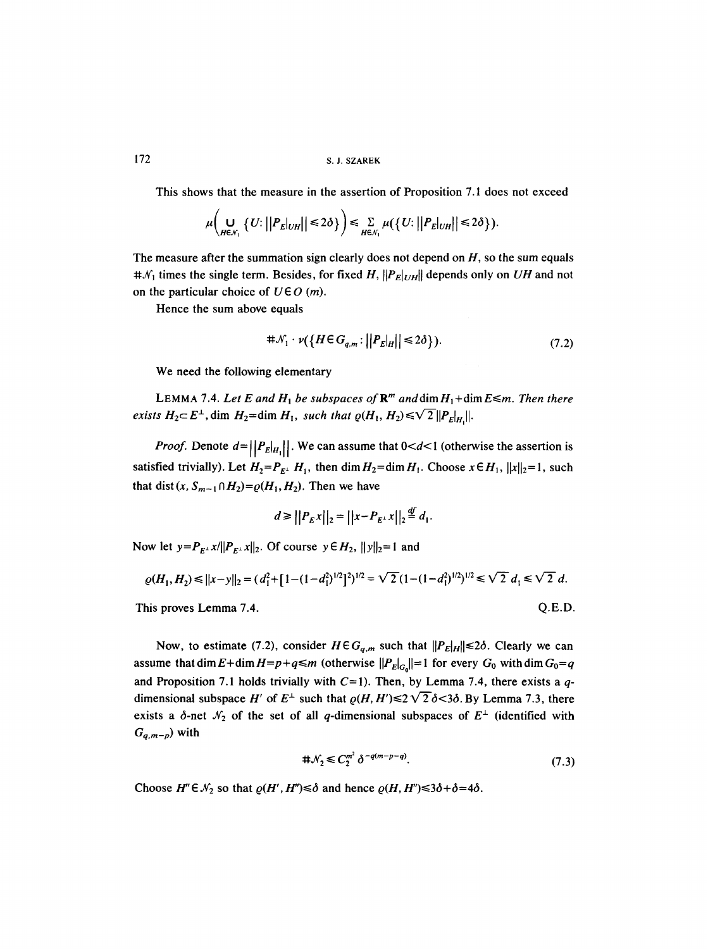# 172 S. J. SZAREK

This shows that the measure in the assertion of Proposition 7.1 does not exceed

$$
\mu\bigg(\bigcup_{H\in\mathcal{N}_1}\{U:\big|\big|P_E|_{UH}\big|\big|\leq 2\delta\}\bigg)\leq \sum_{H\in\mathcal{N}_1}\mu(\big\{U:\big|\big|P_E|_{UH}\big|\big|\leq 2\delta\big\}).
$$

The measure after the summation sign clearly does not depend on  $H$ , so the sum equals  $\sharp\mathcal{N}_1$  times the single term. Besides, for fixed H,  $||P_E||_{UH}||$  depends only on *UH* and not on the particular choice of  $U \in O(m)$ .

Hence the sum above equals

$$
\# \mathcal{N}_1 \cdot \nu(\{H \in G_{q,m} : ||P_E|_H || \le 2\delta\}).\tag{7.2}
$$

We need the following elementary

LEMMA 7.4. Let E and  $H_1$  be subspaces of  $\mathbb{R}^m$  and  $\dim H_1 + \dim E \le m$ . Then there *exists*  $H_2 \subset E^{\perp}$ , dim  $H_2 = \dim H_1$ , such that  $\varrho(H_1, H_2) \le \sqrt{2} ||P_E||$ .

*Proof.* Denote  $d=||P_E|_{H_1}||$ . We can assume that  $0 < d < 1$  (otherwise the assertion is satisfied trivially). Let  $H_2 = P_{E^{\perp}} H_1$ , then dim  $H_2 = \dim H_1$ . Choose  $x \in H_1$ ,  $||x||_2 = 1$ , such that dist  $(x, S_{m-1} \cap H_2) = \rho(H_1, H_2)$ . Then we have

$$
d \ge ||P_{E}x||_2 = ||x-P_{E^{\perp}}x||_2 \stackrel{df}{=} d_1.
$$

Now let  $y = P_{E^{\perp}} x / ||P_{E^{\perp}} x||_2$ . Of course  $y \in H_2$ ,  $||y||_2 = 1$  and

$$
\varrho(H_1, H_2) \le ||x - y||_2 = (d_1^2 + [1 - (1 - d_1^2)^{1/2}]^2)^{1/2} = \sqrt{2} (1 - (1 - d_1^2)^{1/2})^{1/2} \le \sqrt{2} d_1 \le \sqrt{2} d.
$$

This proves Lemma 7.4.  $Q.E.D.$ 

Now, to estimate (7.2), consider  $H \in G_{q,m}$  such that  $||P_E|_H|| \le 2\delta$ . Clearly we can assume that dim  $E + \dim H = p + q \le m$  (otherwise  $||P_{E}|_{G_{0}}|| = 1$  for every  $G_{0}$  with dim  $G_{0} = q$ and Proposition 7.1 holds trivially with  $C=1$ ). Then, by Lemma 7.4, there exists a qdimensional subspace H' of  $E^{\perp}$  such that  $\rho(H, H') \leq 2\sqrt{2} \delta < 3\delta$ . By Lemma 7.3, there exists a  $\delta$ -net  $\mathcal{N}_2$  of the set of all q-dimensional subspaces of  $E^{\perp}$  (identified with *Gq,m-p)* with

$$
\#\mathcal{N}_2 \leq C_2^{m^2} \delta^{-q(m-p-q)}.\tag{7.3}
$$

Choose  $H'' \in \mathcal{N}_2$  so that  $\varrho(H', H'') \leq \delta$  and hence  $\varrho(H, H'') \leq 3\delta + \delta = 4\delta$ .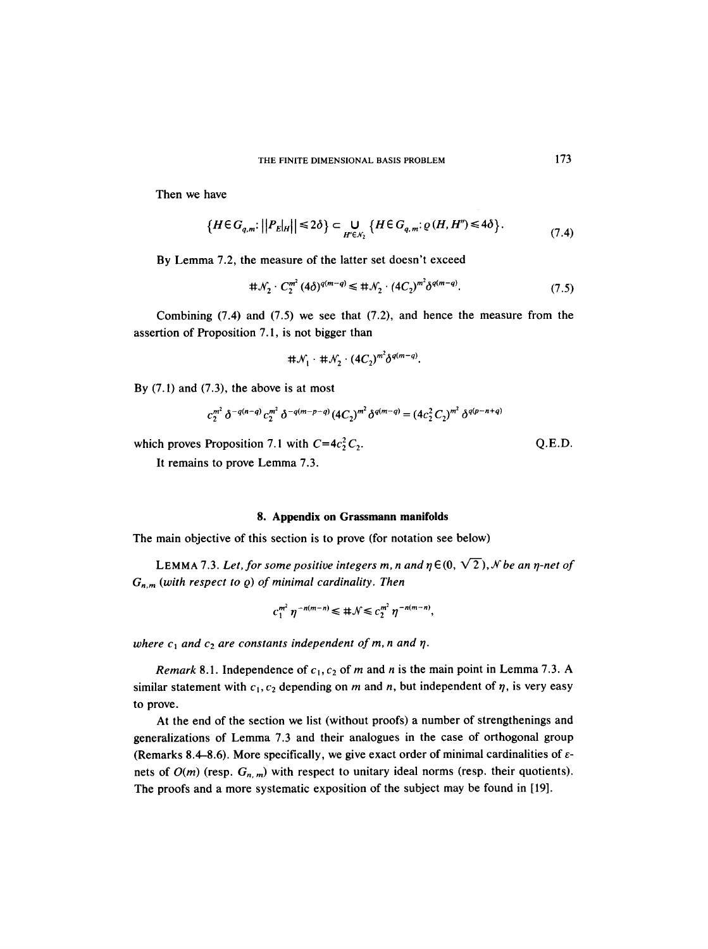Then we have

$$
\left\{H \in G_{q,m}: \left| \left|P_E \right|_{H} \right| \right| \leq 2\delta \right\} \subset \bigcup_{H' \in \mathcal{N}_2} \left\{H \in G_{q,m}: \varrho(H, H'') \leq 4\delta \right\}.
$$
\n(7.4)

By Lemma 7.2, the measure of the latter set doesn't exceed

$$
\# \mathcal{N}_2 \cdot C_2^{m^2} (4\delta)^{q(m-q)} \leq \# \mathcal{N}_2 \cdot (4C_2)^{m^2} \delta^{q(m-q)}.
$$
 (7.5)

Combining  $(7.4)$  and  $(7.5)$  we see that  $(7.2)$ , and hence the measure from the assertion of Proposition 7.1, is not bigger than

$$
\#\mathcal{N}_1\cdot\#\mathcal{N}_2\cdot(4C_2)^{m^2}\delta^{q(m-q)}.
$$

By  $(7.1)$  and  $(7.3)$ , the above is at most

$$
c_2^{m^2} \delta^{-q(n-q)} c_2^{m^2} \delta^{-q(m-p-q)} (4C_2)^{m^2} \delta^{q(m-q)} = (4c_2^2 C_2)^{m^2} \delta^{q(p-n+q)}
$$

which proves Proposition 7.1 with  $C=4c_2^2C_2$ . Q.E.D.

It remains to prove Lemma 7.3.

## **8. Appendix on Grassmann manifolds**

The main objective of this section is to prove (for notation see below)

LEMMA 7.3. Let, for some positive integers m, n and  $\eta \in (0, \sqrt{2})$ , N be an  $\eta$ -net of  $G_{n,m}$  (with respect to  $\varrho$ ) of minimal cardinality. Then

$$
c_1^{m^2} \eta^{-n(m-n)} \leq \#\mathcal{N} \leq c_2^{m^2} \eta^{-n(m-n)},
$$

*where*  $c_1$  and  $c_2$  are constants independent of m, n and  $\eta$ .

*Remark* 8.1. Independence of  $c_1$ ,  $c_2$  of m and n is the main point in Lemma 7.3. A similar statement with  $c_1, c_2$  depending on m and n, but independent of  $\eta$ , is very easy to prove.

At the end of the section we list (without proofs) a number of strengthenings and generalizations of Lemma 7.3 and their analogues in the case of orthogonal group (Remarks 8.4–8.6). More specifically, we give exact order of minimal cardinalities of  $\varepsilon$ nets of  $O(m)$  (resp.  $G_{n,m}$ ) with respect to unitary ideal norms (resp. their quotients). The proofs and a more systematic exposition of the subject may be found in [19].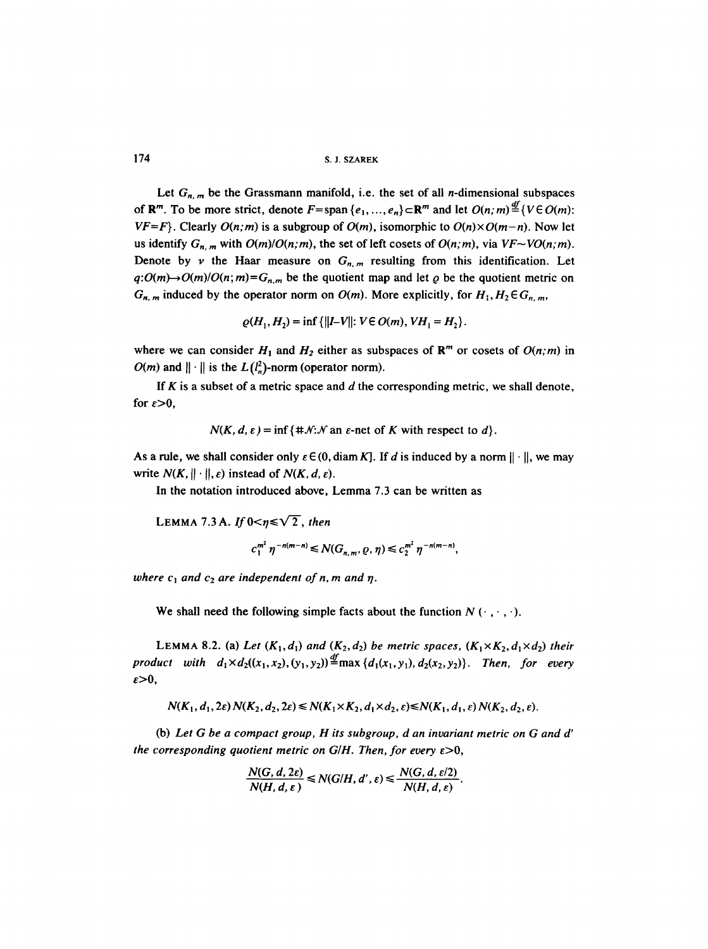174 S. J. SZAREK

Let  $G_{n,m}$  be the Grassmann manifold, i.e. the set of all *n*-dimensional subspaces of  $\mathbb{R}^m$ . To be more strict, denote  $F=$  span  $\{e_1, ..., e_n\}$   $\subset \mathbb{R}^m$  and let  $O(n; m) \stackrel{df}{=} \{V \in O(m):$ *VF*=*F*}. Clearly *O*(*n*;*m*) is a subgroup of *O*(*m*), isomorphic to *O*(*n*)×*O*(*m*-*n*). Now let us identify  $G_{n,m}$  with  $O(m)/O(n,m)$ , the set of left cosets of  $O(n,m)$ , via  $VF\sim VO(n,m)$ . Denote by v the Haar measure on  $G_{n,m}$  resulting from this identification. Let  $q:O(m)\rightarrow O(m)/O(n; m)=G_{n,m}$  be the quotient map and let  $\varrho$  be the quotient metric on  $G_{n,m}$  induced by the operator norm on  $O(m)$ . More explicitly, for  $H_1, H_2 \in G_{n,m}$ ,

$$
\varrho(H_1, H_2) = \inf \{ ||I - V|| : V \in O(m), VH_1 = H_2 \}.
$$

where we can consider  $H_1$  and  $H_2$  either as subspaces of  $\mathbb{R}^m$  or cosets of  $O(n; m)$  in  $O(m)$  and  $\|\cdot\|$  is the  $L(l_n^2)$ -norm (operator norm).

If  $K$  is a subset of a metric space and  $d$  the corresponding metric, we shall denote, for  $\varepsilon > 0$ ,

 $N(K, d, \varepsilon) = \inf \{ H \mid \mathcal{N}: \mathcal{N} \text{ an } \varepsilon \text{-net of } K \text{ with respect to } d \}.$ 

As a rule, we shall consider only  $\varepsilon \in (0, \text{diam } K]$ . If d is induced by a norm  $|| \cdot ||$ , we may write  $N(K, \|\cdot\|, \varepsilon)$  instead of  $N(K, d, \varepsilon)$ .

In the notation introduced above, Lemma 7.3 can be written as

LEMMA 7.3 A. If  $0 < n \le \sqrt{2}$ , *then* 

$$
c_1^{m^2} \eta^{-n(m-n)} \leq N(G_{n,m}, \varrho, \eta) \leq c_2^{m^2} \eta^{-n(m-n)},
$$

where  $c_1$  and  $c_2$  are independent of n, m and  $\eta$ .

We shall need the following simple facts about the function  $N(\cdot, \cdot, \cdot)$ .

LEMMA 8.2. (a) Let  $(K_1, d_1)$  and  $(K_2, d_2)$  be metric spaces,  $(K_1 \times K_2, d_1 \times d_2)$  their *product with*  $d_1 \times d_2((x_1,x_2),(y_1,y_2)) \stackrel{df}{=} \max\{d_1(x_1,y_1), d_2(x_2,y_2)\}.$  Then, for every  $\varepsilon > 0$ ,

$$
N(K_1, d_1, 2\varepsilon) N(K_2, d_2, 2\varepsilon) \le N(K_1 \times K_2, d_1 \times d_2, \varepsilon) \le N(K_1, d_1, \varepsilon) N(K_2, d_2, \varepsilon).
$$

(b) *Let G be a compact group, H its subgroup, d an invariant metric on G and d' the corresponding quotient metric on G/H. Then, for every*  $\varepsilon > 0$ *,* 

$$
\frac{N(G, d, 2\varepsilon)}{N(H, d, \varepsilon)} \le N(G/H, d', \varepsilon) \le \frac{N(G, d, \varepsilon/2)}{N(H, d, \varepsilon)}
$$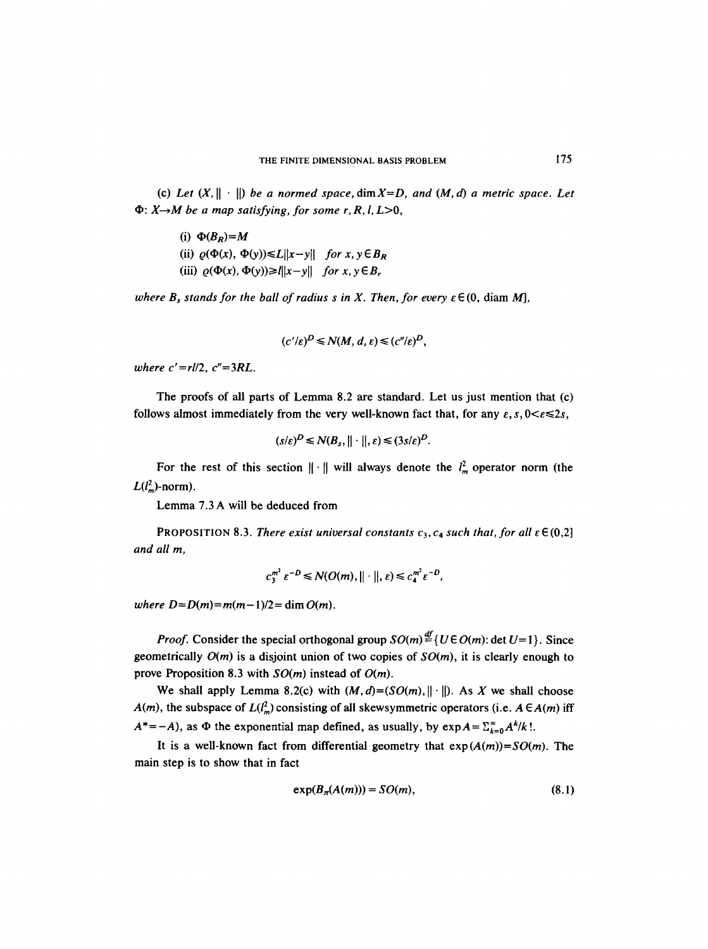(c) Let  $(X, \|\cdot\|)$  be a normed space,  $\dim X = D$ , and  $(M, d)$  a metric space. Let  $\Phi$ :  $X \rightarrow M$  be a map satisfying, for some r, R, l, L > 0,

(i)  $\Phi(B_R) = M$ (ii)  $\varrho(\Phi(x), \Phi(y)) \le L||x-y||$  *for*  $x, y \in B_R$ (iii)  $\varrho(\Phi(x), \Phi(y)) \geq ||x-y||$  *for*  $x, y \in B_r$ 

*where B<sub>s</sub> stands for the ball of radius s in X. Then, for every*  $\varepsilon \in (0, \text{diam }M)$ *,* 

$$
(c'/\varepsilon)^D \le N(M, d, \varepsilon) \le (c''/\varepsilon)^D,
$$

*where c'=rl/2, c"=3RL.* 

The proofs of all parts of Lemma 8.2 are standard. Let us just mention that (c) follows almost immediately from the very well-known fact that, for any  $\varepsilon$ ,  $s$ ,  $0 < \varepsilon \le 2s$ ,

$$
(s/\varepsilon)^D \leq N(B_s, \|\cdot\|, \varepsilon) \leq (3s/\varepsilon)^D.
$$

For the rest of this section  $\|\cdot\|$  will always denote the  $l_m^2$  operator norm (the  $L(l<sub>n</sub><sup>2</sup>)$ -norm).

Lemma 7.3 A will be deduced from

PROPOSITION 8.3. *There exist universal constants*  $c_3$ ,  $c_4$  such that, for all  $\varepsilon \in (0,2]$ *and all m,* 

$$
c_3^{m^2} \varepsilon^{-D} \leq N(O(m), || \cdot ||, \varepsilon) \leq c_4^{m^2} \varepsilon^{-D},
$$

*where*  $D = D(m) = m(m-1)/2 = \dim O(m)$ .

*Proof.* Consider the special orthogonal group  $SO(m) \stackrel{df}{=} \{U \in O(m) : \det U = 1\}$ . Since geometrically *O(m)* is a disjoint union of two copies of *SO(m),* it is clearly enough to prove Proposition 8.3 with *SO(m)* instead of *O(m).* 

We shall apply Lemma 8.2(c) with  $(M, d) = (SO(m), ||\cdot||)$ . As X we shall choose A(m), the subspace of  $L(l_m^2)$  consisting of all skewsymmetric operators (i.e.  $A \in A(m)$  iff  $A^* = -A$ ), as  $\Phi$  the exponential map defined, as usually, by  $\exp A = \sum_{k=0}^{\infty} A^k / k!$ .

It is a well-known fact from differential geometry that  $exp(A(m)) = SO(m)$ . The main step is to show that in fact

$$
\exp(B_{\pi}(A(m))) = SO(m),\tag{8.1}
$$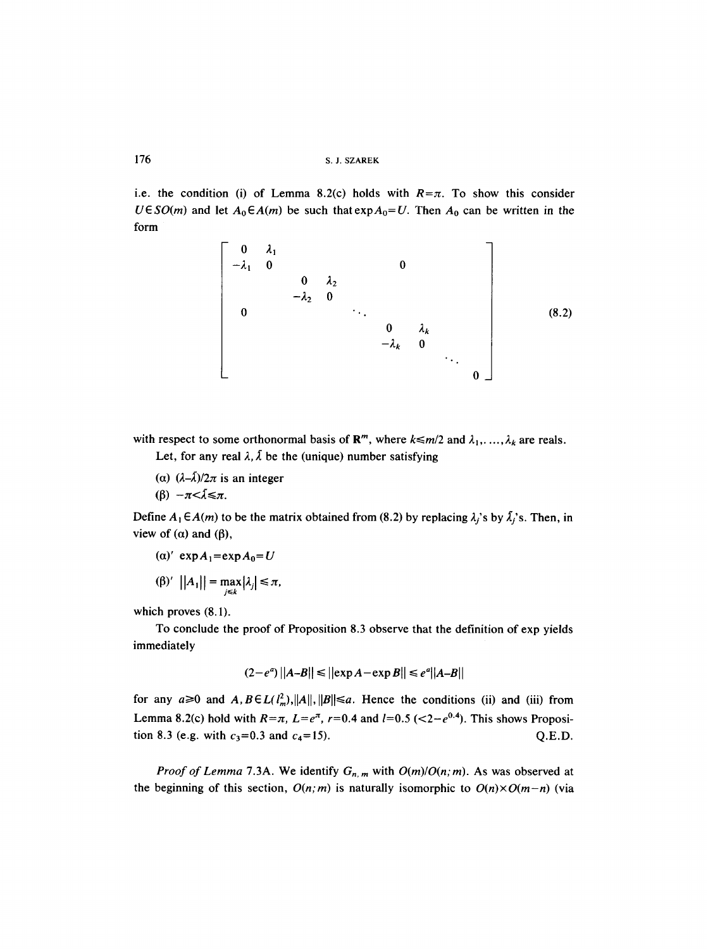176 S.J. SZAREK

i.e. the condition (i) of Lemma 8.2(c) holds with  $R=\pi$ . To show this consider  $U \in SO(m)$  and let  $A_0 \in A(m)$  be such that  $\exp A_0 = U$ . Then  $A_0$  can be written in the form



with respect to some orthonormal basis of  $\mathbb{R}^m$ , where  $k \le m/2$  and  $\lambda_1, \ldots, \lambda_k$  are reals.

Let, for any real  $\lambda$ ,  $\lambda$  be the (unique) number satisfying

(a)  $(\lambda-\bar{\lambda})/2\pi$  is an integer

( $\beta$ )  $-\pi < \tilde{\lambda} \leq \pi$ .

Define  $A_1 \in A(m)$  to be the matrix obtained from (8.2) by replacing  $\lambda_j$ 's by  $\tilde{\lambda_j}$ 's. Then, in view of  $(\alpha)$  and  $(\beta)$ ,

- $(\alpha)'$  exp $A_1$ =exp $A_0=U$
- $(|\beta)'$   $||A_1|| = \max_{j \le k} |\lambda_j| \le \pi$ ,

which proves (8.1).

To conclude the proof of Proposition 8.3 observe that the definition of exp yields immediately

$$
(2-e^a)\left|\left|A-B\right|\right|\leq \left|\left|\exp A - \exp B\right|\right|\leq e^a\left|\left|A-B\right|\right|
$$

for any  $a \ge 0$  and  $A, B \in L(l_m^2), ||A||, ||B|| \le a$ . Hence the conditions (ii) and (iii) from Lemma 8.2(c) hold with  $R=\pi$ ,  $L=e^{\pi}$ ,  $r=0.4$  and  $l=0.5$  (<2- $e^{0.4}$ ). This shows Proposition 8.3 (e.g. with  $c_3 = 0.3$  and  $c_4 = 15$ ). Q.E.D.

*Proof of Lemma 7.3A.* We identify  $G_{n,m}$  with  $O(m)/O(n, m)$ . As was observed at the beginning of this section,  $O(n; m)$  is naturally isomorphic to  $O(n) \times O(m-n)$  (via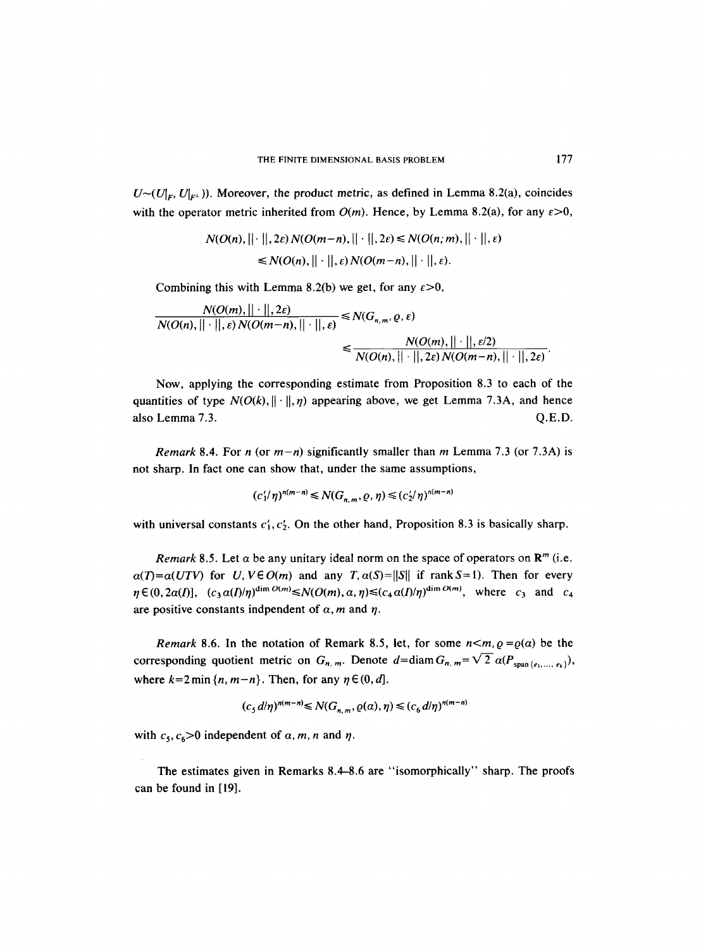$U \sim (U_{\vert F}, U_{\vert F^{\perp}})$ . Moreover, the product metric, as defined in Lemma 8.2(a), coincides with the operator metric inherited from  $O(m)$ . Hence, by Lemma 8.2(a), for any  $\varepsilon > 0$ ,

$$
N(O(n), ||\cdot||, 2\varepsilon) N(O(m-n), ||\cdot||, 2\varepsilon) \leq N(O(n; m), ||\cdot||, \varepsilon)
$$
  
\$\leq N(O(n), ||\cdot||, \varepsilon) N(O(m-n), ||\cdot||, \varepsilon).

Combining this with Lemma 8.2(b) we get, for any  $\varepsilon > 0$ ,

$$
\frac{N(O(m),||\cdot||,2\varepsilon)}{N(O(n),||\cdot||,\varepsilon)N(O(m-n),||\cdot||,\varepsilon)} \leq N(G_{n,m},\varrho,\varepsilon)
$$
  

$$
\leq \frac{N(O(m),||\cdot||,\varepsilon/2)}{N(O(n),||\cdot||,2\varepsilon)N(O(m-n),||\cdot||,2\varepsilon)}.
$$

Now, applying the corresponding estimate from Proposition 8.3 to each of the quantities of type  $N(O(k), \| \cdot \|, \eta)$  appearing above, we get Lemma 7.3A, and hence also Lemma 7.3. Q.E.D.

*Remark* 8.4. For *n* (or  $m-n$ ) significantly smaller than *m* Lemma 7.3 (or 7.3A) is not sharp. In fact one can show that, under the same assumptions,

$$
(c'_1/\eta)^{n(m-n)} \leq N(G_{n,m}, \varrho, \eta) \leq (c'_2/\eta)^{n(m-n)}
$$

with universal constants  $c'_1, c'_2$ . On the other hand, Proposition 8.3 is basically sharp.

*Remark* 8.5. Let  $\alpha$  be any unitary ideal norm on the space of operators on  $\mathbb{R}^m$  (i.e.  $a(T)=a(UTV)$  for *U, V* $\in$  *O(m)* and any *T, a(S)*=||S|| if rank *S*=1). Then for every  $\eta \in (0, 2\alpha(I)),$   $(c_3 \alpha(I)/\eta)^{\dim O(m)} \leq N(O(m), \alpha, \eta) \leq (c_4 \alpha(I)/\eta)^{\dim O(m)},$  where  $c_3$  and  $c_4$ are positive constants indpendent of  $\alpha$ , m and  $\eta$ .

*Remark* 8.6. In the notation of Remark 8.5, let, for some  $n < m$ ,  $\varrho = \varrho(\alpha)$  be the corresponding quotient metric on  $G_{n,m}$ . Denote  $d=$ diam $G_{n,m}=$  $\sqrt{2} \alpha (P_{\text{span}\{e_1,\ldots,e_k\}})$ , where  $k=2$  min  $\{n, m-n\}$ . Then, for any  $\eta \in (0, d]$ .

$$
(c5 d/\eta)^{n(m-n)} \leq N(Gn,m, \varrho(\alpha), \eta) \leq (c6 d/\eta)^{n(m-n)}
$$

with  $c_5$ ,  $c_6>0$  independent of  $\alpha$ ,  $m$ ,  $n$  and  $\eta$ .

The estimates given in Remarks 8.4-8.6 are "isomorphically" sharp. The proofs can be found in [19].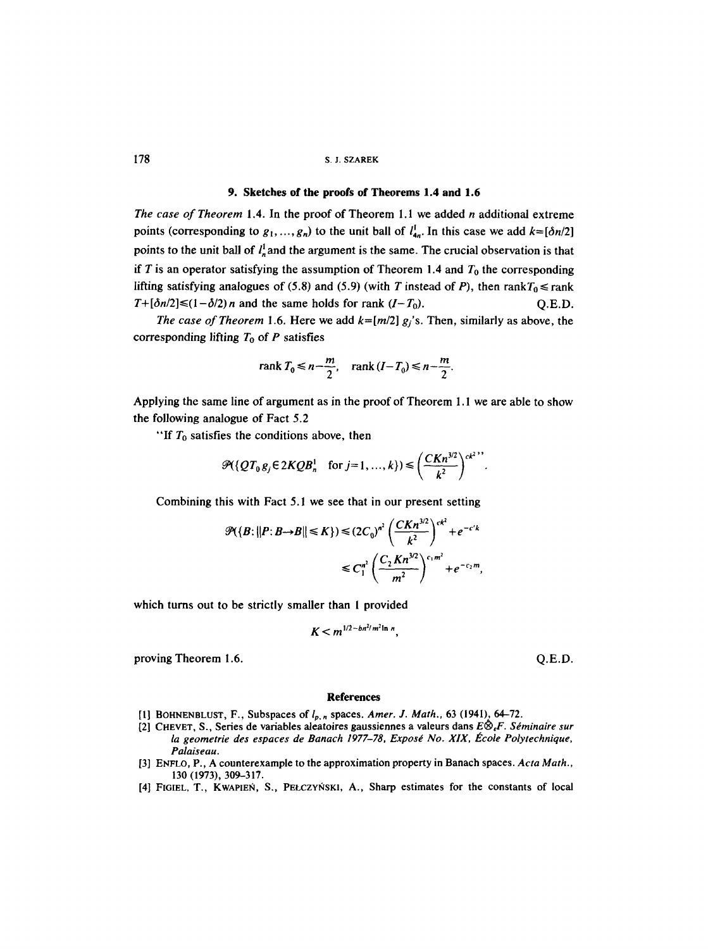# 9. Sketches of **the proofs of Theorems** 1.4 and 1.6

*The case of Theorem* 1.4. In the proof of Theorem 1.1 we added *n* additional extreme points (corresponding to  $g_1, ..., g_n$ ) to the unit ball of  $l_{4n}^{\dagger}$ . In this case we add  $k=[\delta n/2]$ points to the unit ball of  $l_{\alpha}^{\dagger}$  and the argument is the same. The crucial observation is that if T is an operator satisfying the assumption of Theorem 1.4 and  $T_0$  the corresponding lifting satisfying analogues of (5.8) and (5.9) (with T instead of P), then rank $T_0 \le$ rank  $T + [\delta n/2] \le (1 - \delta/2)n$  and the same holds for rank  $(I - T_0)$ . Q.E.D.

*The case of Theorem* 1.6. Here we add  $k=[m/2]$   $g_i$ 's. Then, similarly as above, the corresponding lifting  $T_0$  of P satisfies

$$
rank T_0 \le n - \frac{m}{2}, \quad rank (I - T_0) \le n - \frac{m}{2}.
$$

Applying the same line of argument as in the proof of Theorem I. 1 we are able to show the following analogue of Fact 5.2

"If  $T_0$  satisfies the conditions above, then

$$
\mathcal{P}(\lbrace QT_0g_j\in 2KQB_n^1 \quad \text{for } j=1,\ldots,k\rbrace)\leqslant \left(\frac{CKn^{3/2}}{k^2}\right)^{ck^2}.
$$

Combining this with Fact 5.1 we see that in our present setting

$$
\mathcal{P}(\lbrace B: \vert \vert P: B \rightarrow B \vert \vert \leq K \rbrace) \leq (2C_0)^{n^2} \left(\frac{CKn^{3/2}}{k^2}\right)^{ck^2} + e^{-c'k}
$$
  

$$
\leq C_1^{n^2} \left(\frac{C_2 Kn^{3/2}}{m^2}\right)^{c_1 m^2} + e^{-c_2 m},
$$

which turns out to be strictly smaller than 1 provided

$$
K < m^{1/2-bn^2/m^2\ln n}.
$$

proving Theorem 1.6. Q.E.D.

#### **References**

- [1] BOHNENBLUST, F., Subspaces of lp. n spaces. *Amer. J. Math.,* 63 (1941), 64-72.
- [2] CHEVET, S., Series de variables aleatoires gaussiennes a valeurs dans *E~F. S~minaire sur*  la geometrie des espaces de Banach 1977-78, Exposé No. XIX, École Polytechnique, *Palaiseau.*
- [3] ENFLO, P., A counterexample to the approximation property in Banach spaces. *Acta Math.,*  130 (1973), 309-317.
- [4] FIGIEL, T., KWAPIEN, S., PEŁCZYNSKI, A., Sharp estimates for the constants of local